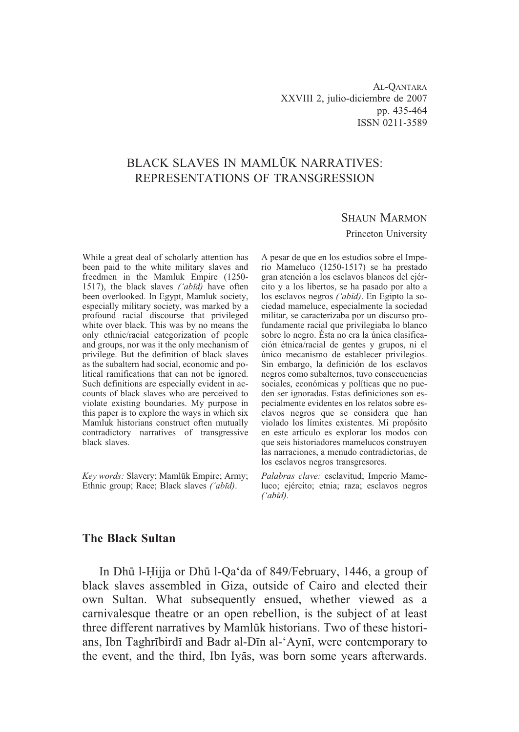# BLACK SLAVES IN MAMLUK NARRATIVES: REPRESENTATIONS OF TRANSGRESSION

#### SHAUN MARMON

#### Princeton University

While a great deal of scholarly attention has been paid to the white military slaves and freedmen in the Mamluk Empire (1250- 1517), the black slaves *('abd)* have often been overlooked. In Egypt, Mamluk society, especially military society, was marked by a profound racial discourse that privileged white over black. This was by no means the only ethnic/racial categorization of people and groups, nor was it the only mechanism of privilege. But the definition of black slaves as the subaltern had social, economic and political ramifications that can not be ignored. Such definitions are especially evident in accounts of black slaves who are perceived to violate existing boundaries. My purpose in this paper is to explore the ways in which six Mamluk historians construct often mutually contradictory narratives of transgressive black slaves.

*Key words: Slavery: Mamlūk Empire: Army:* Ethnic group; Race; Black slaves *('abd)*.

A pesar de que en los estudios sobre el Imperio Mameluco (1250-1517) se ha prestado gran atención a los esclavos blancos del ejército y a los libertos, se ha pasado por alto a los esclavos negros *('abd)*. En Egipto la sociedad mameluce, especialmente la sociedad militar, se caracterizaba por un discurso profundamente racial que privilegiaba lo blanco sobre lo negro. Ésta no era la única clasificación étnica/racial de gentes y grupos, ni el único mecanismo de establecer privilegios. Sin embargo, la definición de los esclavos negros como subalternos, tuvo consecuencias sociales, económicas y políticas que no pueden ser ignoradas. Estas definiciones son especialmente evidentes en los relatos sobre esclavos negros que se considera que han violado los límites existentes. Mi propósito en este artículo es explorar los modos con que seis historiadores mamelucos construyen las narraciones, a menudo contradictorias, de los esclavos negros transgresores.

*Palabras clave:* esclavitud; Imperio Mameluco; ejército; etnia; raza; esclavos negros *('abd)*.

### **The Black Sultan**

In Dhū l-Hijja or Dhū l-Qa'da of 849/February, 1446, a group of black slaves assembled in Giza, outside of Cairo and elected their own Sultan. What subsequently ensued, whether viewed as a carnivalesque theatre or an open rebellion, is the subject of at least three different narratives by Mamluk historians. Two of these historians, Ibn Taghrībirdī and Badr al-Dīn al-'Aynī, were contemporary to the event, and the third, Ibn Iyas, was born some years afterwards.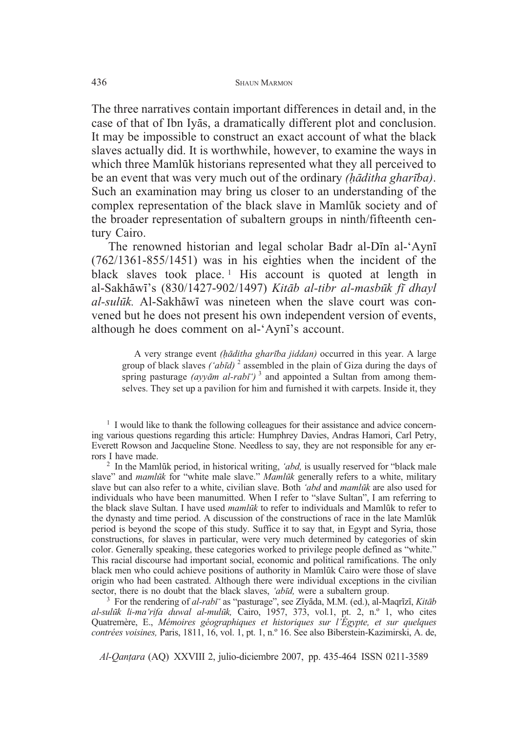The three narratives contain important differences in detail and, in the case of that of Ibn Iyas, a dramatically different plot and conclusion. It may be impossible to construct an exact account of what the black slaves actually did. It is worthwhile, however, to examine the ways in which three Mamlūk historians represented what they all perceived to be an event that was very much out of the ordinary *(ditha gharba)*. Such an examination may bring us closer to an understanding of the complex representation of the black slave in Mamlūk society and of the broader representation of subaltern groups in ninth/fifteenth century Cairo.

The renowned historian and legal scholar Badr al-Din al-'Ayni (762/1361-855/1451) was in his eighties when the incident of the black slaves took place.<sup>1</sup> His account is quoted at length in al-Sakhāwī's (830/1427-902/1497) *Kitāb al-tibr al-masbūk fī dhayl* al-sulūk. Al-Sakhāwī was nineteen when the slave court was convened but he does not present his own independent version of events, although he does comment on al-'Ayn's account.

A very strange event *(ditha gharba jiddan)* occurred in this year. A large group of black slaves *('abd)* <sup>2</sup> assembled in the plain of Giza during the days of spring pasturage  $\left($ *ayyam al-rab* $\bar{t}$ <sup>'</sup>)<sup>3</sup> and appointed a Sultan from among themselves. They set up a pavilion for him and furnished it with carpets. Inside it, they

<sup>1</sup> I would like to thank the following colleagues for their assistance and advice concerning various questions regarding this article: Humphrey Davies, Andras Hamori, Carl Petry, Everett Rowson and Jacqueline Stone. Needless to say, they are not responsible for any er-

<sup>2</sup> In the Mamluk period, in historical writing, *'abd*, is usually reserved for "black male" slave" and *mamlk* for "white male slave." *Mamlk* generally refers to a white, military slave but can also refer to a white, civilian slave. Both *'abd* and *mamlk* are also used for individuals who have been manumitted. When I refer to "slave Sultan", I am referring to the black slave Sultan. I have used *mamluk* to refer to individuals and Mamluk to refer to the dynasty and time period. A discussion of the constructions of race in the late Mamlūk period is beyond the scope of this study. Suffice it to say that, in Egypt and Syria, those constructions, for slaves in particular, were very much determined by categories of skin color. Generally speaking, these categories worked to privilege people defined as "white." This racial discourse had important social, economic and political ramifications. The only black men who could achieve positions of authority in Mamlūk Cairo were those of slave origin who had been castrated. Although there were individual exceptions in the civilian sector, there is no doubt that the black slaves, *'abīd*, were a subaltern group.

sector, there is no doubt that the black slaves, *'abīd*, were a subaltern group.<br><sup>3</sup> For the rendering of *al-rabī'* as "pasturage", see Zīyāda, M.M. (ed.), al-Maqrīzī, *Kitāb al-sulk li-ma'rifa duwal al-mulk,* Cairo, 1957, 373, vol.1, pt. 2, n.º 1, who cites Quatremère, E., *Mémoires géographiques et historiques sur l'Égypte, et sur quelques contrées voisines,* Paris, 1811, 16, vol. 1, pt. 1, n.º 16. See also Biberstein-Kazimirski, A. de,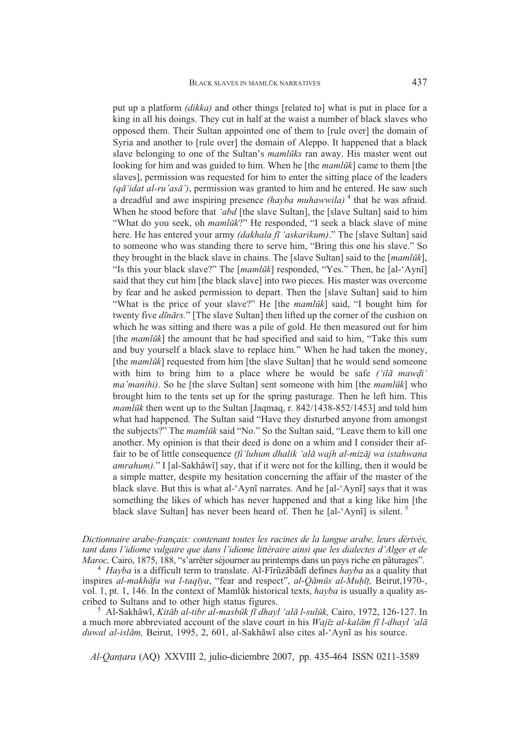put up a platform *(dikka)* and other things [related to] what is put in place for a king in all his doings. They cut in half at the waist a number of black slaves who opposed them. Their Sultan appointed one of them to [rule over] the domain of Syria and another to [rule over] the domain of Aleppo. It happened that a black slave belonging to one of the Sultan's *mamlks* ran away. His master went out looking for him and was guided to him. When he [the *mamlūk*] came to them [the slaves], permission was requested for him to enter the sitting place of the leaders *(q'idat al-ru'as')*, permission was granted to him and he entered. He saw such a dreadful and awe inspiring presence *(hayba muhawwila)* <sup>4</sup> that he was afraid. When he stood before that *'abd* [the slave Sultan], the [slave Sultan] said to him "What do you seek, oh *mamlūk*?" He responded, "I seek a black slave of mine here. He has entered your army *(dakhala fī 'askarikum)*." The [slave Sultan] said to someone who was standing there to serve him, "Bring this one his slave." So they brought in the black slave in chains. The [slave Sultan] said to the [*mamlk*], "Is this your black slave?" The [*mamlk*] responded, "Yes." Then, he [al-'Ayn] said that they cut him [the black slave] into two pieces. His master was overcome by fear and he asked permission to depart. Then the [slave Sultan] said to him "What is the price of your slave?" He [the *mamlk*] said, "I bought him for twenty five *dnrs.*" [The slave Sultan] then lifted up the corner of the cushion on which he was sitting and there was a pile of gold. He then measured out for him [the *mamluk*] the amount that he had specified and said to him, "Take this sum and buy yourself a black slave to replace him." When he had taken the money, [the *mamlūk*] requested from him [the slave Sultan] that he would send someone with him to bring him to a place where he would be safe *('ilā mawdi' ma'manihi)*. So he [the slave Sultan] sent someone with him [the *mamlk*] who brought him to the tents set up for the spring pasturage. Then he left him. This *mamlūk* then went up to the Sultan [Jaqmaq, r. 842/1438-852/1453] and told him what had happened. The Sultan said "Have they disturbed anyone from amongst the subjects?" The *mamlūk* said "No." So the Sultan said, "Leave them to kill one another. My opinion is that their deed is done on a whim and I consider their affair to be of little consequence *(fi'luhum dhalik 'alā wajh al-mizāj wa istahwana* amrahum)." I [al-Sakhāwī] say, that if it were not for the killing, then it would be a simple matter, despite my hesitation concerning the affair of the master of the black slave. But this is what al-'Aynī narrates. And he [al-'Aynī] says that it was something the likes of which has never happened and that a king like him [the black slave Sultan] has never been heard of. Then he [al-'Aynī] is silent.<sup>5</sup>

*Dictionnaire arabe-français: contenant toutes les racines de la langue arabe, leurs dérivés, tant dans l'idiome vulgaire que dans l'idiome littéraire ainsi que les dialectes d'Alger et de*

*Maroc,* Cairo, 1875, 188, "s'arrêter séjourner au printemps dans un pays riche en pâturages".<br><sup>4</sup> *Hayba* is a difficult term to translate. Al-Fīrūzābādī defines *hayba* as a quality that inspires *al-makhāfa wa l-taqīya*, "fear and respect", *al-Qāmūs al-Muḥīṭ*, Beirut,1970-, vol. 1, pt. 1, 146. In the context of Mamlūk historical texts, *hayba* is usually a quality as-<br>cribed to Sultans and to other high status figures. eribed to Sultans and to other high status figures.<br><sup>5</sup> Al-Sakhāwī, *Kitāb al-tibr al-masbūk fī dhayl 'alā l-sulūk*, Cairo, 1972, 126-127. In

a much more abbreviated account of the slave court in his *Wajz al-kalm f l-dhayl 'al* duwal al-islām, Beirut, 1995, 2, 601, al-Sakhāwī also cites al-'Aynī as his source.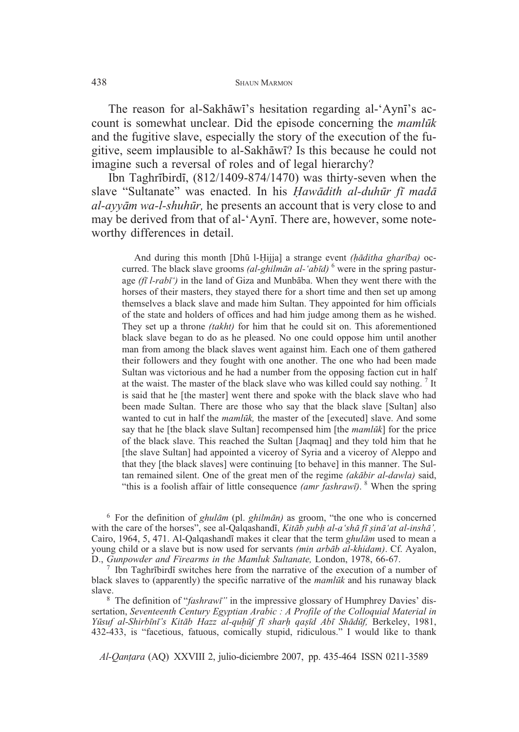The reason for al-Sakhāwī's hesitation regarding al-'Aynī's account is somewhat unclear. Did the episode concerning the *mamlk* and the fugitive slave, especially the story of the execution of the fugitive, seem implausible to al-Sakhāwī? Is this because he could not imagine such a reversal of roles and of legal hierarchy?

Ibn Taghrībirdī,  $(812/1409-874/1470)$  was thirty-seven when the slave "Sultanate" was enacted. In his *Hawādith al-duhūr fī madā al-ayym wa-l-shuhr,* he presents an account that is very close to and may be derived from that of al-'Ayni. There are, however, some noteworthy differences in detail.

And during this month *[Dhū l-Hijja] a strange event <i>(hāditha gharība)* occurred. The black slave grooms *(al-ghilmān al-'abīd)* <sup>6</sup> were in the spring pasturage (fi *l-rabi*<sup>\*</sup>) in the land of Giza and Munbaba. When they went there with the horses of their masters, they stayed there for a short time and then set up among themselves a black slave and made him Sultan. They appointed for him officials of the state and holders of offices and had him judge among them as he wished. They set up a throne *(takht)* for him that he could sit on. This aforementioned black slave began to do as he pleased. No one could oppose him until another man from among the black slaves went against him. Each one of them gathered their followers and they fought with one another. The one who had been made Sultan was victorious and he had a number from the opposing faction cut in half at the waist. The master of the black slave who was killed could say nothing. <sup>7</sup> It is said that he [the master] went there and spoke with the black slave who had been made Sultan. There are those who say that the black slave [Sultan] also wanted to cut in half the *mamlūk*, the master of the [executed] slave. And some say that he [the black slave Sultan] recompensed him [the *mamlk*] for the price of the black slave. This reached the Sultan [Jaqmaq] and they told him that he [the slave Sultan] had appointed a viceroy of Syria and a viceroy of Aleppo and that they [the black slaves] were continuing [to behave] in this manner. The Sultan remained silent. One of the great men of the regime *(akbir al-dawla)* said, "this is a foolish affair of little consequence *(amr fashraw)*. <sup>8</sup> When the spring

<sup>6</sup> For the definition of *ghulm* (pl. *ghilmn)* as groom, "the one who is concerned with the care of the horses", see al-Qalqashandi, *Kitāb șubh al-a'shā fī șinā'at al-inshā'*, Cairo, 1964, 5, 471. Al-Qalqashandī makes it clear that the term *ghulām* used to mean a young child or a slave but is now used for servants *(min arbb al-khidam)*. Cf. Ayalon, D., *Gunpowder and Firearms in the Mamluk Sultanate*, London, 1978, 66-67.<br><sup>7</sup> Ibn Taghrībirdī switches here from the narrative of the execution of a number of

black slaves to (apparently) the specific narrative of the *mamlk* and his runaway black

<sup>8</sup> The definition of "*fashrawi*" in the impressive glossary of Humphrey Davies' dissertation, *Seventeenth Century Egyptian Arabic : A Profile of the Colloquial Material in Ysuf al-Shirbn's Kitb Hazz al-quf f shar qa d Ab Shdf,* Berkeley, 1981, 432-433, is "facetious, fatuous, comically stupid, ridiculous." I would like to thank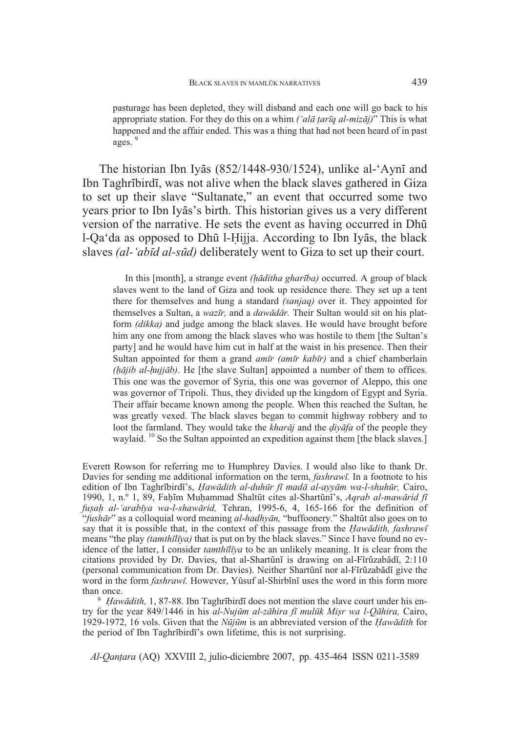pasturage has been depleted, they will disband and each one will go back to his appropriate station. For they do this on a whim *('alā ṭarīq al-mizāj)*" This is what happened and the affair ended. This was a thing that had not been heard of in past ages.<sup>9</sup>

The historian Ibn Iyās (852/1448-930/1524), unlike al-'Aynī and Ibn Taghrībirdī, was not alive when the black slaves gathered in Giza to set up their slave "Sultanate," an event that occurred some two years prior to Ibn Iyās's birth. This historian gives us a very different version of the narrative. He sets the event as having occurred in Dh l-Qa'da as opposed to Dhū l-Ḥijja. According to Ibn Iyās, the black slaves *(al-'abd al-sd)* deliberately went to Giza to set up their court.

In this [month], a strange event *(hāditha gharība)* occurred. A group of black slaves went to the land of Giza and took up residence there. They set up a tent there for themselves and hung a standard *(sanjaq)* over it. They appointed for themselves a Sultan, a *wazr,* and a *dawdr.* Their Sultan would sit on his platform *(dikka)* and judge among the black slaves. He would have brought before him any one from among the black slaves who was hostile to them [the Sultan's party] and he would have him cut in half at the waist in his presence. Then their Sultan appointed for them a grand *amr (amr kabr)* and a chief chamberlain *(jib al-ujjb)*. He [the slave Sultan] appointed a number of them to offices. This one was the governor of Syria, this one was governor of Aleppo, this one was governor of Tripoli. Thus, they divided up the kingdom of Egypt and Syria. Their affair became known among the people. When this reached the Sultan, he was greatly vexed. The black slaves began to commit highway robbery and to loot the farmland. They would take the *kharaj* and the *diyafa* of the people they waylaid. <sup>10</sup> So the Sultan appointed an expedition against them [the black slaves.]

Everett Rowson for referring me to Humphrey Davies. I would also like to thank Dr. Davies for sending me additional information on the term, *fashraw.* In a footnote to his edition of Ibn Taghrībirdī's, *Hawādith al-duhūr fī madā al-ayyām wa-l-shuhūr*, Cairo, 1990, 1, n.º 1, 89, Fam Muammad Shaltt cites al-Shartn's, *Aqrab al-mawrid f fu a al-'arabya wa-l-shawrid,* Tehran, 1995-6, 4, 165-166 for the definition of "fushār" as a colloquial word meaning *al-hadhyān*, "buffoonery." Shaltūt also goes on to say that it is possible that, in the context of this passage from the *Hawadith, fashrawi* means "the play *(tamthlya)* that is put on by the black slaves." Since I have found no evidence of the latter, I consider *tamthiliya* to be an unlikely meaning. It is clear from the citations provided by Dr. Davies, that al-Shartūnī is drawing on al-Fīrūzabādī, 2:110 (personal communication from Dr. Davies). Neither Shartūnī nor al-Fīrūzabādī give the word in the form *fashrawi*. However, Yūsuf al-Shirbīnī uses the word in this form more than once.

<sup>9</sup> *Hawādith*, 1, 87-88. Ibn Taghrībirdī does not mention the slave court under his entry for the year 849/1446 in his *al-Nujm al-zhira f mulk Mi r wa l-Qhira,* Cairo, 1929-1972, 16 vols. Given that the *Njm* is an abbreviated version of the *awdith* for the period of Ibn Taghrbird's own lifetime, this is not surprising.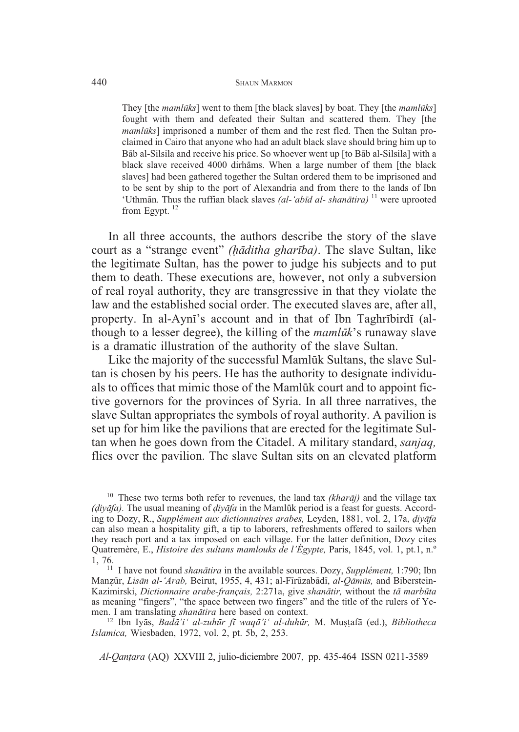#### 440 SHAUN MARMON

They [the *mamlks*] went to them [the black slaves] by boat. They [the *mamlks*] fought with them and defeated their Sultan and scattered them. They [the *mamlūks*] imprisoned a number of them and the rest fled. Then the Sultan proclaimed in Cairo that anyone who had an adult black slave should bring him up to Bāb al-Silsila and receive his price. So whoever went up [to Bāb al-Silsila] with a black slave received 4000 dirhāms. When a large number of them [the black slaves] had been gathered together the Sultan ordered them to be imprisoned and to be sent by ship to the port of Alexandria and from there to the lands of Ibn 'Uthmān. Thus the ruffian black slaves *(al-'abīd al- shanātira)* <sup>11</sup> were uprooted from Egypt.<sup>12</sup>

In all three accounts, the authors describe the story of the slave court as a "strange event" *(ditha gharba)*. The slave Sultan, like the legitimate Sultan, has the power to judge his subjects and to put them to death. These executions are, however, not only a subversion of real royal authority, they are transgressive in that they violate the law and the established social order. The executed slaves are, after all, property. In al-Ayni's account and in that of Ibn Taghribirdi (although to a lesser degree), the killing of the *mamlk*'s runaway slave is a dramatic illustration of the authority of the slave Sultan.

Like the majority of the successful Mamlūk Sultans, the slave Sultan is chosen by his peers. He has the authority to designate individuals to offices that mimic those of the Mamlūk court and to appoint fictive governors for the provinces of Syria. In all three narratives, the slave Sultan appropriates the symbols of royal authority. A pavilion is set up for him like the pavilions that are erected for the legitimate Sultan when he goes down from the Citadel. A military standard, *sanjaq,* flies over the pavilion. The slave Sultan sits on an elevated platform

<sup>&</sup>lt;sup>10</sup> These two terms both refer to revenues, the land tax *(kharāj)* and the village tax  $(i\nu \vec{a}fa)$ . The usual meaning of  $div \vec{a}fa$  in the Mamluk period is a feast for guests. According to Dozy, R., *Supplément aux dictionnaires arabes,* Leyden, 1881, vol. 2, 17a, *iyfa* can also mean a hospitality gift, a tip to laborers, refreshments offered to sailors when they reach port and a tax imposed on each village. For the latter definition, Dozy cites Quatremère, E., *Histoire des sultans mamlouks de l'Égypte,* Paris, 1845, vol. 1, pt.1, n.º 1, 76. <sup>11</sup> I have not found *shantira* in the available sources. Dozy, *Supplément,* 1:790; Ibn

Manzūr, Lisān al-'Arab, Beirut, 1955, 4, 431; al-Fīrūzabādī, al-Qāmūs, and Biberstein-Kazimirski, *Dictionnaire arabe-français*, 2:271a, give *shanātir*, without the *tā marbūta* as meaning "fingers", "the space between two fingers" and the title of the rulers of Ye-<br>men. I am translating *shanātira* here based on context.

men. I am translating *shanātira* here based on context.<br><sup>12</sup> Ibn Iyās, *Badā'i' al-zuhūr fī waqā'i' al-duhūr*, M. Muṣṭafā (ed.), *Bibliotheca Islamica,* Wiesbaden, 1972, vol. 2, pt. 5b, 2, 253.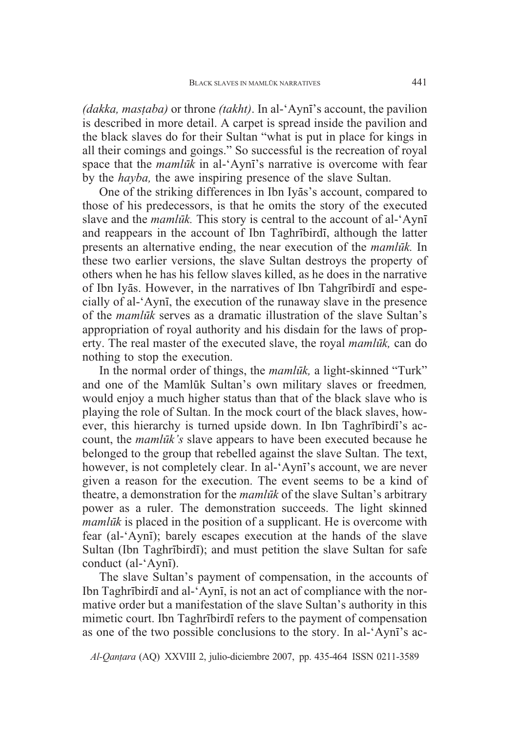*(dakka, mastaba)* or throne *(takht)*. In al-'Ayni's account, the pavilion is described in more detail. A carpet is spread inside the pavilion and the black slaves do for their Sultan "what is put in place for kings in all their comings and goings." So successful is the recreation of royal space that the *mamluk* in al-'Ayni's narrative is overcome with fear by the *hayba,* the awe inspiring presence of the slave Sultan.

One of the striking differences in Ibn Iyas's account, compared to those of his predecessors, is that he omits the story of the executed slave and the *mamluk*. This story is central to the account of al-'Ayni and reappears in the account of Ibn Taghribirdi, although the latter presents an alternative ending, the near execution of the *mamlk.* In these two earlier versions, the slave Sultan destroys the property of others when he has his fellow slaves killed, as he does in the narrative of Ibn Iyās. However, in the narratives of Ibn Tahgrībirdī and especially of al-'Ayni, the execution of the runaway slave in the presence of the *mamlk* serves as a dramatic illustration of the slave Sultan's appropriation of royal authority and his disdain for the laws of property. The real master of the executed slave, the royal *mamlk,* can do nothing to stop the execution.

In the normal order of things, the *mamluk*, a light-skinned "Turk" and one of the Mamluk Sultan's own military slaves or freedmen, would enjoy a much higher status than that of the black slave who is playing the role of Sultan. In the mock court of the black slaves, however, this hierarchy is turned upside down. In Ibn Taghrībirdī's account, the *mamlk's* slave appears to have been executed because he belonged to the group that rebelled against the slave Sultan. The text, however, is not completely clear. In al-'Ayni's account, we are never given a reason for the execution. The event seems to be a kind of theatre, a demonstration for the *mamlk* of the slave Sultan's arbitrary power as a ruler. The demonstration succeeds. The light skinned *mamlux* is placed in the position of a supplicant. He is overcome with fear (al-'Ayn); barely escapes execution at the hands of the slave Sultan (Ibn Taghribirdi); and must petition the slave Sultan for safe conduct (al-'Aynī).

The slave Sultan's payment of compensation, in the accounts of Ibn Taghrībirdī and al-'Aynī, is not an act of compliance with the normative order but a manifestation of the slave Sultan's authority in this mimetic court. Ibn Taghribirdi refers to the payment of compensation as one of the two possible conclusions to the story. In al-'Ayn's ac-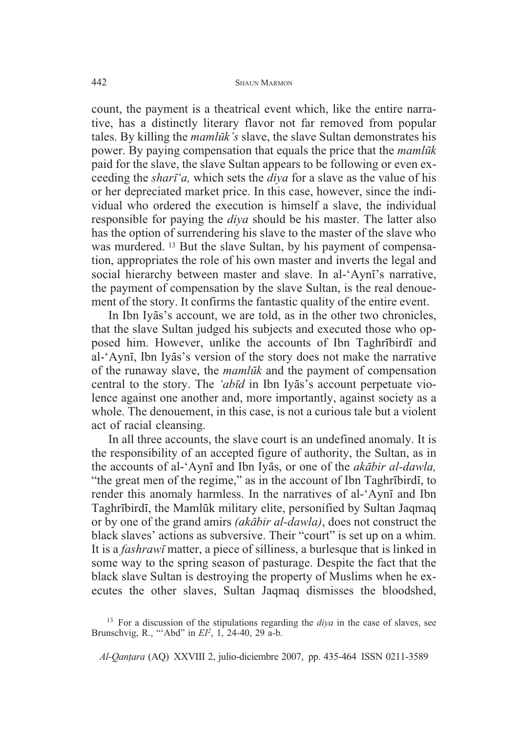count, the payment is a theatrical event which, like the entire narrative, has a distinctly literary flavor not far removed from popular tales. By killing the *mamluk's* slave, the slave Sultan demonstrates his power. By paying compensation that equals the price that the *mamlk* paid for the slave, the slave Sultan appears to be following or even exceeding the *shar'a,* which sets the *diya* for a slave as the value of his or her depreciated market price. In this case, however, since the individual who ordered the execution is himself a slave, the individual responsible for paying the *diya* should be his master. The latter also has the option of surrendering his slave to the master of the slave who was murdered. <sup>13</sup> But the slave Sultan, by his payment of compensation, appropriates the role of his own master and inverts the legal and social hierarchy between master and slave. In al-'Ayn's narrative, the payment of compensation by the slave Sultan, is the real denouement of the story. It confirms the fantastic quality of the entire event.

In Ibn Iyās's account, we are told, as in the other two chronicles, that the slave Sultan judged his subjects and executed those who opposed him. However, unlike the accounts of Ibn Taghribirdi and al-'Aynī, Ibn Iyās's version of the story does not make the narrative of the runaway slave, the *mamlk* and the payment of compensation central to the story. The 'abīd in Ibn Iyas's account perpetuate violence against one another and, more importantly, against society as a whole. The denouement, in this case, is not a curious tale but a violent act of racial cleansing.

In all three accounts, the slave court is an undefined anomaly. It is the responsibility of an accepted figure of authority, the Sultan, as in the accounts of al-'Aynī and Ibn Iyas, or one of the *akabir al-dawla*, "the great men of the regime," as in the account of Ibn Taghribirdi, to render this anomaly harmless. In the narratives of al-'Ayni and Ibn Taghrībirdī, the Mamlūk military elite, personified by Sultan Jaqmaq or by one of the grand amirs *(akbir al-dawla)*, does not construct the black slaves' actions as subversive. Their "court" is set up on a whim. It is a *fashrawi* matter, a piece of silliness, a burlesque that is linked in some way to the spring season of pasturage. Despite the fact that the black slave Sultan is destroying the property of Muslims when he executes the other slaves, Sultan Jaqmaq dismisses the bloodshed,

<sup>13</sup> For a discussion of the stipulations regarding the *diya* in the case of slaves, see Brunschvig, R., "'Abd" in *EI2*, 1, 24-40, 29 a-b.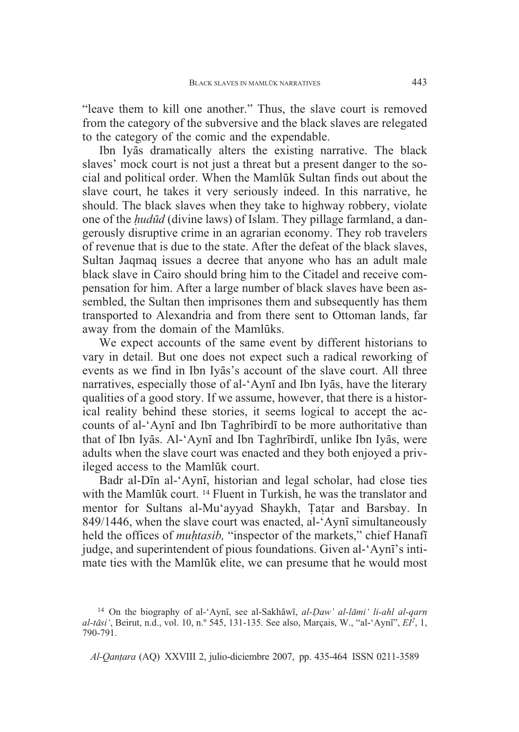"leave them to kill one another." Thus, the slave court is removed from the category of the subversive and the black slaves are relegated to the category of the comic and the expendable.

Ibn Iyās dramatically alters the existing narrative. The black slaves' mock court is not just a threat but a present danger to the social and political order. When the Mamlūk Sultan finds out about the slave court, he takes it very seriously indeed. In this narrative, he should. The black slaves when they take to highway robbery, violate one of the *udd* (divine laws) of Islam. They pillage farmland, a dangerously disruptive crime in an agrarian economy. They rob travelers of revenue that is due to the state. After the defeat of the black slaves, Sultan Jaqmaq issues a decree that anyone who has an adult male black slave in Cairo should bring him to the Citadel and receive compensation for him. After a large number of black slaves have been assembled, the Sultan then imprisones them and subsequently has them transported to Alexandria and from there sent to Ottoman lands, far away from the domain of the Mamluks.

We expect accounts of the same event by different historians to vary in detail. But one does not expect such a radical reworking of events as we find in Ibn Iyas's account of the slave court. All three narratives, especially those of al-'Aynī and Ibn Iyās, have the literary qualities of a good story. If we assume, however, that there is a historical reality behind these stories, it seems logical to accept the accounts of al-'Ayni and Ibn Taghribird to be more authoritative than that of Ibn Iyās. Al-'Aynī and Ibn Taghrībirdī, unlike Ibn Iyās, were adults when the slave court was enacted and they both enjoyed a privileged access to the Mamluk court.

Badr al-Din al-'Ayni, historian and legal scholar, had close ties with the Mamlūk court.  $^{14}$  Fluent in Turkish, he was the translator and mentor for Sultans al-Mu'ayyad Shaykh, Tatar and Barsbay. In 849/1446, when the slave court was enacted, al-'Aynī simultaneously held the offices of *muhtasib*, "inspector of the markets," chief Hanafi judge, and superintendent of pious foundations. Given al-'Ayn's intimate ties with the Mamluk elite, we can presume that he would most

<sup>&</sup>lt;sup>14</sup> On the biography of al-'Aynī, see al-Sakhāwī, al-*Daw' al-lāmi' li-ahl al-qarn al-tsi'*, Beirut, n.d., vol. 10, n.º 545, 131-135. See also, Marçais, W., "al-'Ayn", *EI2*, 1, 790-791.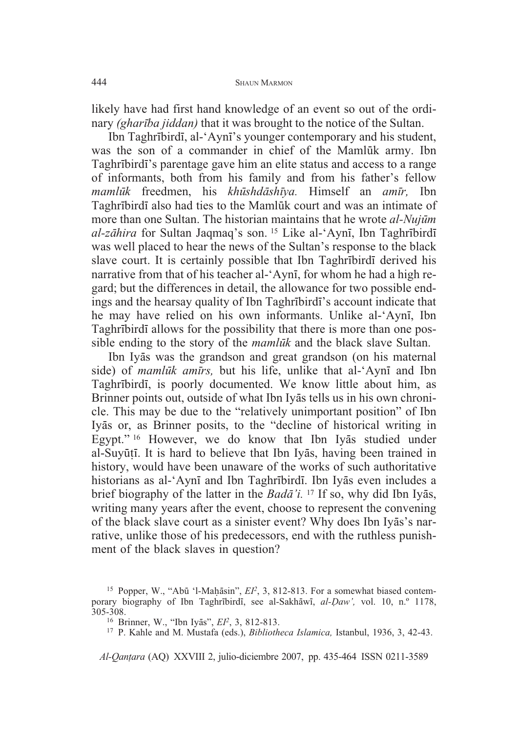likely have had first hand knowledge of an event so out of the ordinary *(gharba jiddan)* that it was brought to the notice of the Sultan.

Ibn Taghribirdi, al-'Ayni's younger contemporary and his student, was the son of a commander in chief of the Mamluk army. Ibn Taghribirdi's parentage gave him an elite status and access to a range of informants, both from his family and from his father's fellow *mamlk* freedmen, his *khshdshya.* Himself an *amr,* Ibn Taghrībirdī also had ties to the Mamlūk court and was an intimate of more than one Sultan. The historian maintains that he wrote *al-Nujm al-zāhira* for Sultan Jaqmaq's son. <sup>15</sup> Like al-'Aynī, Ibn Taghrībirdī was well placed to hear the news of the Sultan's response to the black slave court. It is certainly possible that Ibn Taghribirdi derived his narrative from that of his teacher al-'Ayni, for whom he had a high regard; but the differences in detail, the allowance for two possible endings and the hearsay quality of Ibn Taghribirdi's account indicate that he may have relied on his own informants. Unlike al-'Ayni, Ibn Taghribirdi allows for the possibility that there is more than one possible ending to the story of the *mamluk* and the black slave Sultan.

Ibn Iyās was the grandson and great grandson (on his maternal side) of *mamluk amirs*, but his life, unlike that al-'Ayni and Ibn Taghrībirdī, is poorly documented. We know little about him, as Brinner points out, outside of what Ibn Iyas tells us in his own chronicle. This may be due to the "relatively unimportant position" of Ibn Iyās or, as Brinner posits, to the "decline of historical writing in Egypt."<sup>16</sup> However, we do know that Ibn Iyas studied under al-Suyūțī. It is hard to believe that Ibn Iyās, having been trained in history, would have been unaware of the works of such authoritative historians as al-'Aynī and Ibn Taghrībirdī. Ibn Iyās even includes a brief biography of the latter in the *Bada<sup>'</sup>i*.<sup>17</sup> If so, why did Ibn Iyas, writing many years after the event, choose to represent the convening of the black slave court as a sinister event? Why does Ibn Iyas's narrative, unlike those of his predecessors, end with the ruthless punishment of the black slaves in question?

<sup>&</sup>lt;sup>15</sup> Popper, W., "Abū 'l-Maḥāsin",  $EI^2$ , 3, 812-813. For a somewhat biased contemporary biography of Ibn Taghrībirdī, see al-Sakhāwī, al-*Daw'*, vol. 10, n.º 1178,  $305-308$ .<br><sup>16</sup> Brinner, W., "Ibn Iyās", *El*<sup>2</sup>, 3, 812-813.

<sup>&</sup>lt;sup>17</sup> P. Kahle and M. Mustafa (eds.), *Bibliotheca Islamica*, Istanbul, 1936, 3, 42-43.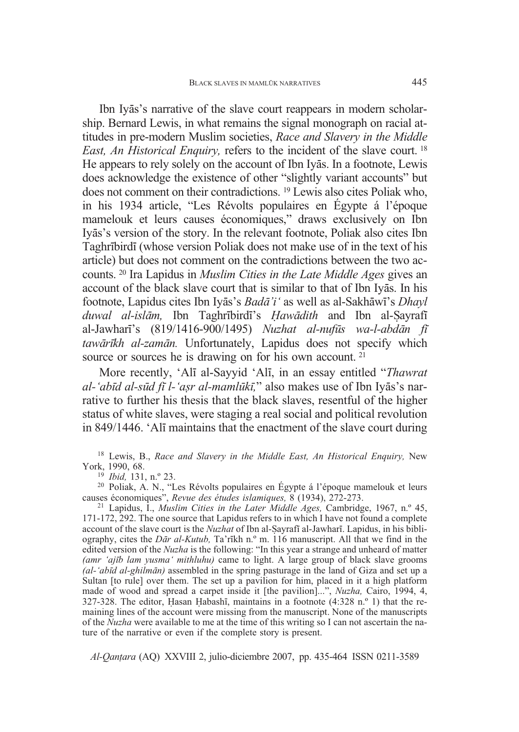Ibn Iyās's narrative of the slave court reappears in modern scholarship. Bernard Lewis, in what remains the signal monograph on racial attitudes in pre-modern Muslim societies, *Race and Slavery in the Middle East, An Historical Enquiry,* refers to the incident of the slave court. <sup>18</sup> He appears to rely solely on the account of Ibn Iyas. In a footnote, Lewis does acknowledge the existence of other "slightly variant accounts" but does not comment on their contradictions. <sup>19</sup> Lewis also cites Poliak who, in his 1934 article, "Les Révolts populaires en Égypte á l'époque mamelouk et leurs causes économiques," draws exclusively on Ibn Iy-s's version of the story. In the relevant footnote, Poliak also cites Ibn Taghribirdi (whose version Poliak does not make use of in the text of his article) but does not comment on the contradictions between the two accounts. <sup>20</sup> Ira Lapidus in *Muslim Cities in the Late Middle Ages* gives an account of the black slave court that is similar to that of Ibn Iyas. In his footnote, Lapidus cites Ibn Iyās's Badā'i' as well as al-Sakhāwī's Dhayl *duwal al-islām*, Ibn Taghrībirdī's *Hawādith* and Ibn al-Sayrafī al-Jawhar's (819/1416-900/1495) *Nuzhat al-nufs wa-l-abdn f tawrkh al-zamn.* Unfortunately, Lapidus does not specify which source or sources he is drawing on for his own account. <sup>21</sup>

More recently, 'Ali al-Sayyid 'Ali, in an essay entitled "*Thawrat al-'abd al-sd f l-'a r al-mamlk,*" also makes use of Ibn Iy-s's narrative to further his thesis that the black slaves, resentful of the higher status of white slaves, were staging a real social and political revolution in 849/1446. 'All maintains that the enactment of the slave court during

<sup>18</sup> Lewis, B., *Race and Slavery in the Middle East, An Historical Enquiry,* New

<sup>19</sup> *Ibid,* 131, n.º 23.<br><sup>20</sup> Poliak, A. N., "Les Révolts populaires en Égypte á l'époque mamelouk et leurs causes économiques", *Revue des études islamiques*, 8 (1934), 272-273.

<sup>21</sup> Lapidus, I., *Muslim Cities in the Later Middle Ages, Cambridge, 1967, n.º 45,* 171-172, 292. The one source that Lapidus refers to in which I have not found a complete account of the slave court is the *Nuzhat* of Ibn al-Sayrafi al-Jawhari. Lapidus, in his bibliography, cites the *Dr al-Kutub,* Ta'rkh n.º m. 116 manuscript. All that we find in the edited version of the *Nuzha* is the following: "In this year a strange and unheard of matter *(amr 'ajb lam yusma' mithluhu)* came to light. A large group of black slave grooms *(al-'abd al-ghilmn)* assembled in the spring pasturage in the land of Giza and set up a Sultan [to rule] over them. The set up a pavilion for him, placed in it a high platform made of wood and spread a carpet inside it [the pavilion]...", *Nuzha,* Cairo, 1994, 4, 327-328. The editor, Hasan Habashī, maintains in a footnote (4:328 n.º 1) that the remaining lines of the account were missing from the manuscript. None of the manuscripts of the *Nuzha* were available to me at the time of this writing so I can not ascertain the nature of the narrative or even if the complete story is present.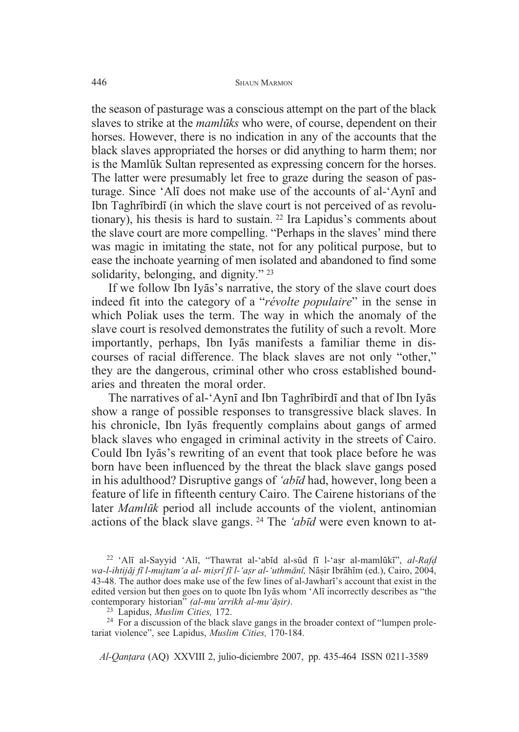the season of pasturage was a conscious attempt on the part of the black slaves to strike at the *mamluks* who were, of course, dependent on their horses. However, there is no indication in any of the accounts that the black slaves appropriated the horses or did anything to harm them; nor is the Mamlūk Sultan represented as expressing concern for the horses. The latter were presumably let free to graze during the season of pasturage. Since 'Alī does not make use of the accounts of al-'Aynī and Ibn Taghrībirdī (in which the slave court is not perceived of as revolutionary), his thesis is hard to sustain. <sup>22</sup> Ira Lapidus's comments about the slave court are more compelling. "Perhaps in the slaves' mind there was magic in imitating the state, not for any political purpose, but to ease the inchoate yearning of men isolated and abandoned to find some solidarity, belonging, and dignity."<sup>23</sup>

If we follow Ibn Iyas's narrative, the story of the slave court does indeed fit into the category of a "*révolte populaire*" in the sense in which Poliak uses the term. The way in which the anomaly of the slave court is resolved demonstrates the futility of such a revolt. More importantly, perhaps, Ibn Iyās manifests a familiar theme in discourses of racial difference. The black slaves are not only "other," they are the dangerous, criminal other who cross established boundaries and threaten the moral order.

The narratives of al-'Aynī and Ibn Taghrībirdī and that of Ibn Iyās show a range of possible responses to transgressive black slaves. In his chronicle, Ibn Iyās frequently complains about gangs of armed black slaves who engaged in criminal activity in the streets of Cairo. Could Ibn Iyās's rewriting of an event that took place before he was born have been influenced by the threat the black slave gangs posed in his adulthood? Disruptive gangs of *'abd* had, however, long been a feature of life in fifteenth century Cairo. The Cairene historians of the later *Mamlk* period all include accounts of the violent, antinomian actions of the black slave gangs. <sup>24</sup> The *'abd* were even known to at-

<sup>24</sup> For a discussion of the black slave gangs in the broader context of "lumpen proletariat violence", see Lapidus, *Muslim Cities,* 170-184.

<sup>&</sup>lt;sup>22</sup> 'Alī al-Sayyid 'Alī, "Thawrat al-'abīd al-sūd fī l-'asr al-mamlūkī", al-Rafd *wa-l-ihtijj f l-mujtam'a al- mi r f l-'a r al-'uthmn,* N- ir Ibr-hm (ed.), Cairo, 2004, 43-48. The author does make use of the few lines of al-Jawhar's account that exist in the edited version but then goes on to quote Ibn Iyas whom 'Ali incorrectly describes as "the contemporary historian" *(al-mu'arrikh al-mu'*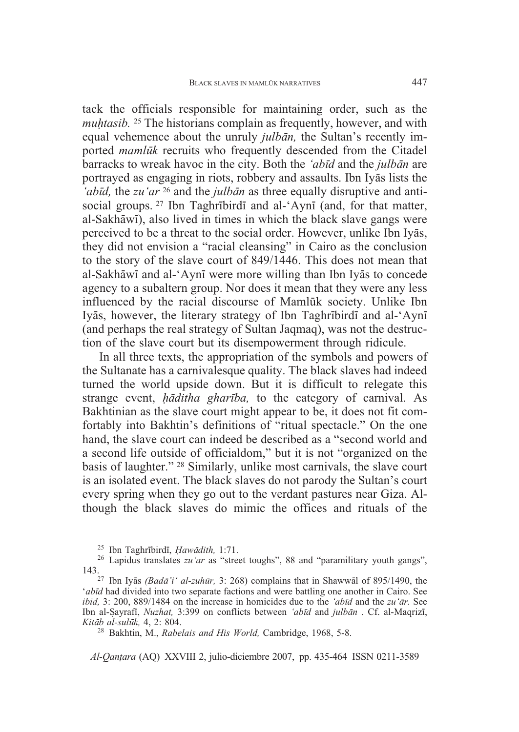tack the officials responsible for maintaining order, such as the *muhtasib.* <sup>25</sup> The historians complain as frequently, however, and with equal vehemence about the unruly *julban*, the Sultan's recently imported *mamlk* recruits who frequently descended from the Citadel barracks to wreak havoc in the city. Both the *'abd* and the *julbn* are portrayed as engaging in riots, robbery and assaults. Ibn Iyās lists the *'abīd*, the *zu'ar* <sup>26</sup> and the *julbān* as three equally disruptive and antisocial groups.  $27$  Ibn Taghribirdi and al-'Ayni (and, for that matter, al-Sakhāwī), also lived in times in which the black slave gangs were perceived to be a threat to the social order. However, unlike Ibn Iyās, they did not envision a "racial cleansing" in Cairo as the conclusion to the story of the slave court of 849/1446. This does not mean that al-Sakhāwī and al-'Aynī were more willing than Ibn Iyās to concede agency to a subaltern group. Nor does it mean that they were any less influenced by the racial discourse of Mamlūk society. Unlike Ibn Iyās, however, the literary strategy of Ibn Taghrībirdī and al-'Aynī (and perhaps the real strategy of Sultan Jaqmaq), was not the destruction of the slave court but its disempowerment through ridicule.

In all three texts, the appropriation of the symbols and powers of the Sultanate has a carnivalesque quality. The black slaves had indeed turned the world upside down. But it is difficult to relegate this strange event, *ditha gharba,* to the category of carnival. As Bakhtinian as the slave court might appear to be, it does not fit comfortably into Bakhtin's definitions of "ritual spectacle." On the one hand, the slave court can indeed be described as a "second world and a second life outside of officialdom," but it is not "organized on the basis of laughter." <sup>28</sup> Similarly, unlike most carnivals, the slave court is an isolated event. The black slaves do not parody the Sultan's court every spring when they go out to the verdant pastures near Giza. Although the black slaves do mimic the offices and rituals of the

'*abd* had divided into two separate factions and were battling one another in Cairo. See *ibid,* 3: 200, 889/1484 on the increase in homicides due to the *'abīd* and the *zu* '*ār*. See Ibn al-Sayrafi, *Nuzhat*, 3:399 on conflicts between *'abīd* and *julbān* . Cf. al-Maqrizī, *Kitāb al-sulūk*, 4, 2: 804.

<sup>28</sup> Bakhtin, M., *Rabelais and His World*, Cambridge, 1968, 5-8.

<sup>&</sup>lt;sup>25</sup> Ibn Taghrībirdī, *Hawādith*, 1:71.<br><sup>26</sup> Lapidus translates *zu'ar* as "street toughs", 88 and "paramilitary youth gangs", <sup>27</sup> Ibn Iyās *(Badā'i' al-zuhūr*, 3: 268) complains that in Shawwal of 895/1490, the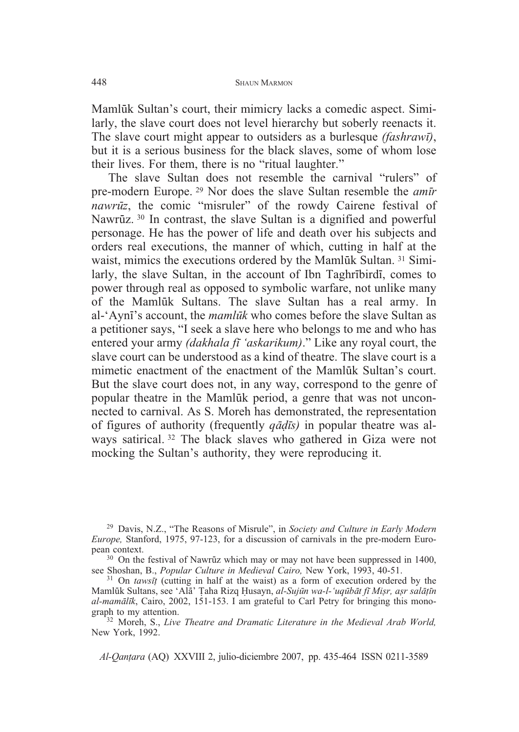Mamlūk Sultan's court, their mimicry lacks a comedic aspect. Similarly, the slave court does not level hierarchy but soberly reenacts it. The slave court might appear to outsiders as a burlesque *(fashraw)*, but it is a serious business for the black slaves, some of whom lose their lives. For them, there is no "ritual laughter."

The slave Sultan does not resemble the carnival "rulers" of pre-modern Europe. <sup>29</sup> Nor does the slave Sultan resemble the *amr nawrz*, the comic "misruler" of the rowdy Cairene festival of Nawrūz. 30 In contrast, the slave Sultan is a dignified and powerful personage. He has the power of life and death over his subjects and orders real executions, the manner of which, cutting in half at the waist, mimics the executions ordered by the Mamlūk Sultan.<sup>31</sup> Similarly, the slave Sultan, in the account of Ibn Taghribirdi, comes to power through real as opposed to symbolic warfare, not unlike many of the Mamlūk Sultans. The slave Sultan has a real army. In al-'Ayni's account, the *mamluk* who comes before the slave Sultan as a petitioner says, "I seek a slave here who belongs to me and who has entered your army *(dakhala fī 'askarikum)*." Like any royal court, the slave court can be understood as a kind of theatre. The slave court is a mimetic enactment of the enactment of the Mamluk Sultan's court. But the slave court does not, in any way, correspond to the genre of popular theatre in the Mamluk period, a genre that was not unconnected to carnival. As S. Moreh has demonstrated, the representation of figures of authority (frequently *qadis*) in popular theatre was always satirical. <sup>32</sup> The black slaves who gathered in Giza were not mocking the Sultan's authority, they were reproducing it.

<sup>29</sup> Davis, N.Z., "The Reasons of Misrule", in *Society and Culture in Early Modern Europe,* Stanford, 1975, 97-123, for a discussion of carnivals in the pre-modern Euro-

<sup>30</sup> On the festival of Nawrūz which may or may not have been suppressed in 1400, see Shoshan, B., *Popular Culture in Medieval Cairo*, New York, 1993, 40-51.

see Shoshan, B., *Popular Culture in Medieval Cairo*, New York, 1993, 40-51.<br><sup>31</sup> On *tawsīt* (cutting in half at the waist) as a form of execution ordered by the Mamlūk Sultans, see 'Alā' Țaha Rizq Ḥusayn, *al-Sujūn wa-l-'uqūbāt fī Miṣr, aṣr salāṭīn al-mamlk*, Cairo, 2002, 151-153. I am grateful to Carl Petry for bringing this monograph to my attention.<br><sup>32</sup> Moreh, S., *Live Theatre and Dramatic Literature in the Medieval Arab World*,

New York, 1992.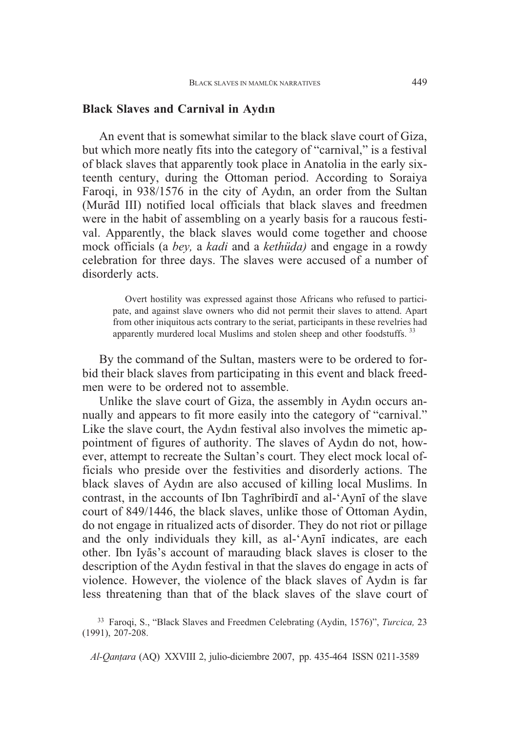## **Black Slaves and Carnival in Ayd-n**

An event that is somewhat similar to the black slave court of Giza, but which more neatly fits into the category of "carnival," is a festival of black slaves that apparently took place in Anatolia in the early sixteenth century, during the Ottoman period. According to Soraiya Faroqi, in 938/1576 in the city of Aydın, an order from the Sultan (Murād III) notified local officials that black slaves and freedmen were in the habit of assembling on a yearly basis for a raucous festival. Apparently, the black slaves would come together and choose mock officials (a *bey,* a *kadi* and a *kethüda)* and engage in a rowdy celebration for three days. The slaves were accused of a number of disorderly acts.

Overt hostility was expressed against those Africans who refused to participate, and against slave owners who did not permit their slaves to attend. Apart from other iniquitous acts contrary to the seriat, participants in these revelries had apparently murdered local Muslims and stolen sheep and other foodstuffs.<sup>33</sup>

By the command of the Sultan, masters were to be ordered to forbid their black slaves from participating in this event and black freedmen were to be ordered not to assemble.

Unlike the slave court of Giza, the assembly in Aydn occurs annually and appears to fit more easily into the category of "carnival." Like the slave court, the Aydn festival also involves the mimetic appointment of figures of authority. The slaves of Aydn do not, however, attempt to recreate the Sultan's court. They elect mock local officials who preside over the festivities and disorderly actions. The black slaves of Aydn are also accused of killing local Muslims. In contrast, in the accounts of Ibn Taghribird and al-'Ayni of the slave court of 849/1446, the black slaves, unlike those of Ottoman Aydin, do not engage in ritualized acts of disorder. They do not riot or pillage and the only individuals they kill, as al-'Ayni indicates, are each other. Ibn Iyās's account of marauding black slaves is closer to the description of the Aydn festival in that the slaves do engage in acts of violence. However, the violence of the black slaves of Aydn is far less threatening than that of the black slaves of the slave court of

<sup>33</sup> Faroqi, S., "Black Slaves and Freedmen Celebrating (Aydin, 1576)", *Turcica,* 23 (1991), 207-208.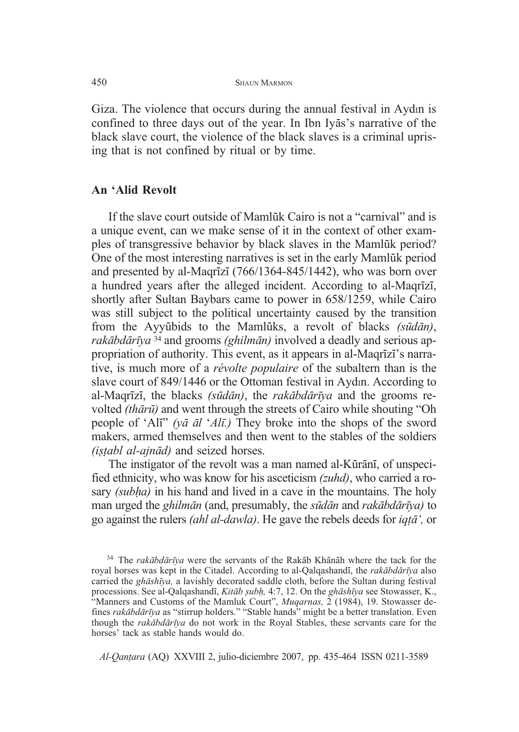Giza. The violence that occurs during the annual festival in Aydn is confined to three days out of the year. In Ibn Iyas's narrative of the black slave court, the violence of the black slaves is a criminal uprising that is not confined by ritual or by time.

### **An 'Alid Revolt**

If the slave court outside of Mamluk Cairo is not a "carnival" and is a unique event, can we make sense of it in the context of other examples of transgressive behavior by black slaves in the Mamluk period? One of the most interesting narratives is set in the early Mamluk period and presented by al-Maqrīzī  $(766/1364-845/1442)$ , who was born over a hundred years after the alleged incident. According to al-Magrīzī, shortly after Sultan Baybars came to power in 658/1259, while Cairo was still subject to the political uncertainty caused by the transition from the Ayyūbids to the Mamlūks, a revolt of blacks *(sūdān)*, *rakbdrya* <sup>34</sup> and grooms *(ghilmn)* involved a deadly and serious appropriation of authority. This event, as it appears in al-Maqrīzī's narrative, is much more of a *révolte populaire* of the subaltern than is the slave court of 849/1446 or the Ottoman festival in Aydn. According to al-Maqrz, the blacks *(sdn)*, the *rakbdrya* and the grooms revolted *(thr)* and went through the streets of Cairo while shouting "Oh people of 'Ali'' *(ya al 'Ali*.) They broke into the shops of the sword makers, armed themselves and then went to the stables of the soldiers *(i -abl al-ajnd)* and seized horses.

The instigator of the revolt was a man named al-Kūrānī, of unspecified ethnicity, who was know for his asceticism *(zuhd)*, who carried a rosary *(suba)* in his hand and lived in a cave in the mountains. The holy man urged the *ghilmān* (and, presumably, the *sūdān* and *rakābdārīya*) to go against the rulers *(ahl al-dawla)*. He gave the rebels deeds for *iq-',* or

<sup>&</sup>lt;sup>34</sup> The *rakābdārīya* were the servants of the Rakāb Khānāh where the tack for the royal horses was kept in the Citadel. According to al-Qalqashand, the *rakbdrya* also carried the *ghshya,* a lavishly decorated saddle cloth, before the Sultan during festival processions. See al-Qalqashandī, *Kitāb șubh*, 4:7, 12. On the *ghāshīya* see Stowasser, K., "Manners and Customs of the Mamluk Court", *Muqarnas*, 2 (1984), 19. Stowasser defines *rakbdrya* as "stirrup holders." "Stable hands" might be a better translation. Even though the *rakbdrya* do not work in the Royal Stables, these servants care for the horses' tack as stable hands would do.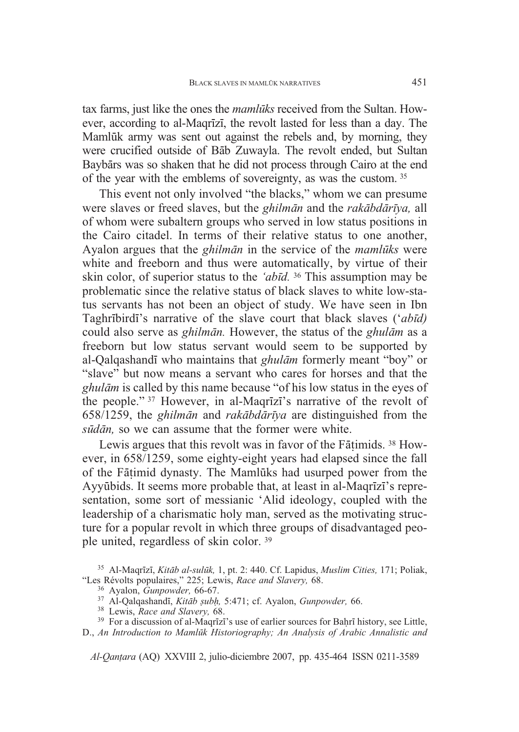tax farms, just like the ones the *mamluks* received from the Sultan. However, according to al-Magrizi, the revolt lasted for less than a day. The Mamlūk army was sent out against the rebels and, by morning, they were crucified outside of Bāb Zuwayla. The revolt ended, but Sultan Baybārs was so shaken that he did not process through Cairo at the end of the year with the emblems of sovereignty, as was the custom. <sup>35</sup>

This event not only involved "the blacks," whom we can presume were slaves or freed slaves, but the *ghilmn* and the *rakbdrya,* all of whom were subaltern groups who served in low status positions in the Cairo citadel. In terms of their relative status to one another, Ayalon argues that the *ghilmān* in the service of the *mamlūks* were white and freeborn and thus were automatically, by virtue of their skin color, of superior status to the *'abd.* <sup>36</sup> This assumption may be problematic since the relative status of black slaves to white low-status servants has not been an object of study. We have seen in Ibn Taghrbird's narrative of the slave court that black slaves ('*abd)* could also serve as *ghilmn.* However, the status of the *ghulm* as a freeborn but low status servant would seem to be supported by al-Qalqashandi who maintains that *ghulām* formerly meant "boy" or "slave" but now means a servant who cares for horses and that the *ghulm* is called by this name because "of his low status in the eyes of the people." 37 However, in al-Magrizi's narrative of the revolt of 658/1259, the *ghilmn* and *rakbdrya* are distinguished from the *sūdān*, so we can assume that the former were white.

Lewis argues that this revolt was in favor of the Fāṭimids.<sup>38</sup> However, in 658/1259, some eighty-eight years had elapsed since the fall of the Fāṭimid dynasty. The Mamlūks had usurped power from the Ayyūbids. It seems more probable that, at least in al-Magrizi's representation, some sort of messianic 'Alid ideology, coupled with the leadership of a charismatic holy man, served as the motivating structure for a popular revolt in which three groups of disadvantaged people united, regardless of skin color. <sup>39</sup>

<sup>&</sup>lt;sup>35</sup> Al-Maqrīzī, *Kitāb al-sulūk*, 1, pt. 2: 440. Cf. Lapidus, *Muslim Cities*, 171; Poliak, "Les Révolts populaires," 225; Lewis, *Race and Slavery*, 68.

<sup>&</sup>lt;sup>36</sup> Ayalon, *Gunpowder,* 66-67.<br><sup>37</sup> Al-Qalqashandī, *Kitāb şubh*, 5:471; cf. Ayalon, *Gunpowder*, 66.<br><sup>38</sup> Lewis, *Race and Slavery*, 68.

<sup>&</sup>lt;sup>39</sup> For a discussion of al-Maqrīzī's use of earlier sources for Bahrī history, see Little,

D., *An Introduction to Mamlk Historiography; An Analysis of Arabic Annalistic and*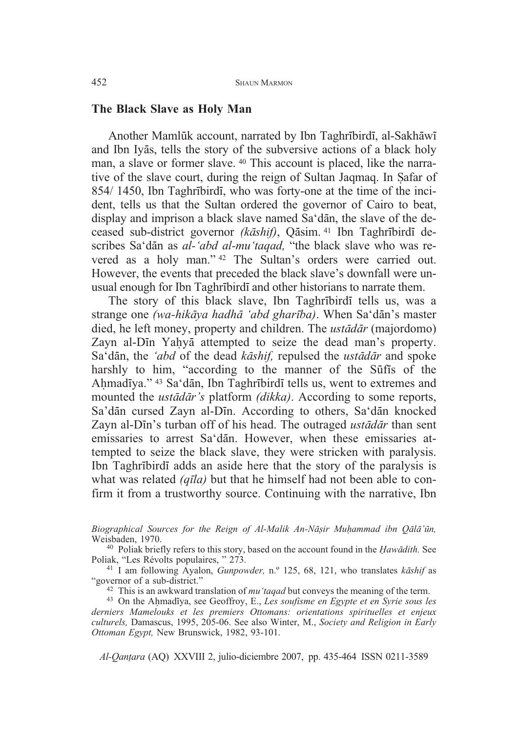### **The Black Slave as Holy Man**

Another Mamlūk account, narrated by Ibn Taghrībirdī, al-Sakhāwī and Ibn Iyās, tells the story of the subversive actions of a black holy man, a slave or former slave. <sup>40</sup> This account is placed, like the narrative of the slave court, during the reign of Sultan Jaqmaq. In Safar of 854/1450, Ibn Taghribirdi, who was forty-one at the time of the incident, tells us that the Sultan ordered the governor of Cairo to beat, display and imprison a black slave named Sa'dān, the slave of the deceased sub-district governor (kāshif), Qāsim. <sup>41</sup> Ibn Taghrībirdī describes Sa'dān as *al-'abd al-mu'taqad*, "the black slave who was revered as a holy man." <sup>42</sup> The Sultan's orders were carried out. However, the events that preceded the black slave's downfall were unusual enough for Ibn Taghribirdi and other historians to narrate them.

The story of this black slave, Ibn Taghribirdi tells us, was a strange one *(wa-hikāya hadhā 'abd gharība)*. When Sa'dān's master died, he left money, property and children. The *ustdr* (majordomo) Zayn al-Dīn Yaḥyā attempted to seize the dead man's property. Sa'dān, the 'abd of the dead *kāshif*, repulsed the *ustādār* and spoke harshly to him, "according to the manner of the Suffis of the Ahmadīya." <sup>43</sup> Sa'dān, Ibn Taghrībirdī tells us, went to extremes and mounted the *ustadar's* platform *(dikka)*. According to some reports, Sa'dān cursed Zayn al-Dīn. According to others, Sa'dān knocked Zayn al-Din's turban off of his head. The outraged *ustadar* than sent emissaries to arrest Sa'dān. However, when these emissaries attempted to seize the black slave, they were stricken with paralysis. Ibn Taghribird adds an aside here that the story of the paralysis is what was related *(q<sup><i>ila)*</sup> but that he himself had not been able to confirm it from a trustworthy source. Continuing with the narrative, Ibn

*Biographical Sources for the Reign of Al-Malik An-N ir Muammad ibn Ql'n,*

Weisbaden, 1970.<br><sup>40</sup> Poliak briefly refers to this story, based on the account found in the *Hawādith*. See Poliak, "Les Révolts populaires, " 273.

<sup>41</sup> I am following Ayalon, *Gunpowder*, n.º 125, 68, 121, who translates *k* $\bar{a}$ shif as "governor of a sub-district."

<sup>42</sup> This is an awkward translation of *mu'taqad* but conveys the meaning of the term.<br><sup>43</sup> On the Ahmadīya, see Geoffroy, E., *Les soufisme en Egypte et en Syrie sous les* 

*derniers Mamelouks et les premiers Ottomans: orientations spirituelles et enjeux culturels,* Damascus, 1995, 205-06. See also Winter, M., *Society and Religion in Early Ottoman Egypt,* New Brunswick, 1982, 93-101.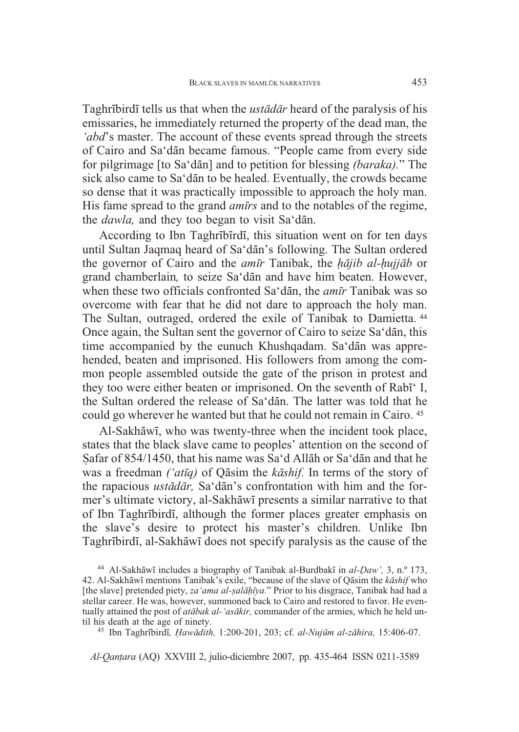Taghribird tells us that when the *ustadar* heard of the paralysis of his emissaries, he immediately returned the property of the dead man, the *'abd*'s master. The account of these events spread through the streets of Cairo and Sa'dān became famous. "People came from every side for pilgrimage [to Sa'dan] and to petition for blessing *(baraka)*." The sick also came to Sa'dān to be healed. Eventually, the crowds became so dense that it was practically impossible to approach the holy man. His fame spread to the grand *amrs* and to the notables of the regime, the *dawla*, and they too began to visit Sa'dan.

According to Ibn Taghribirdi, this situation went on for ten days until Sultan Jaqmaq heard of Sa'dān's following. The Sultan ordered the governor of Cairo and the *amīr* Tanibak, the *hājib al-hujjāb* or grand chamberlain, to seize Sa'dān and have him beaten. However, when these two officials confronted Sa'dan, the *amīr* Tanibak was so overcome with fear that he did not dare to approach the holy man. The Sultan, outraged, ordered the exile of Tanibak to Damietta. <sup>44</sup> Once again, the Sultan sent the governor of Cairo to seize Sa'dān, this time accompanied by the eunuch Khushqadam. Sa'dān was apprehended, beaten and imprisoned. His followers from among the common people assembled outside the gate of the prison in protest and they too were either beaten or imprisoned. On the seventh of Rabi<sup>\*</sup> I, the Sultan ordered the release of Sa'dān. The latter was told that he could go wherever he wanted but that he could not remain in Cairo. <sup>45</sup>

Al-Sakhāwī, who was twenty-three when the incident took place, states that the black slave came to peoples' attention on the second of Şafar of 854/1450, that his name was Sa'd Allāh or Sa'dān and that he was a freedman *('atīq)* of Qāsim the *kāshif*. In terms of the story of the rapacious *ustādār*, Sa'dān's confrontation with him and the former's ultimate victory, al-Sakhāwī presents a similar narrative to that of Ibn Taghribirdi, although the former places greater emphasis on the slave's desire to protect his master's children. Unlike Ibn Taghrībirdī, al-Sakhāwī does not specify paralysis as the cause of the

<sup>&</sup>lt;sup>44</sup> Al-Sakhāwī includes a biography of Tanibak al-Burdbakī in al-*Daw'*, 3, n.º 173, 42. Al-Sakhāwī mentions Tanibak's exile, "because of the slave of Qāsim the *kāshif* who [the slave] pretended piety, za 'ama al-salāḥīya." Prior to his disgrace, Tanibak had had a stellar career. He was, however, summoned back to Cairo and restored to favor. He eventually attained the post of *atabak al-'asãkir*, commander of the armies, which he held until his death at the age of ninety.

til his death at the age of ninety. <sup>45</sup> Ibn Taghrbird*, awdith,* 1:200-201, 203; cf. *al-Nujm al-zhira,* 15:406-07.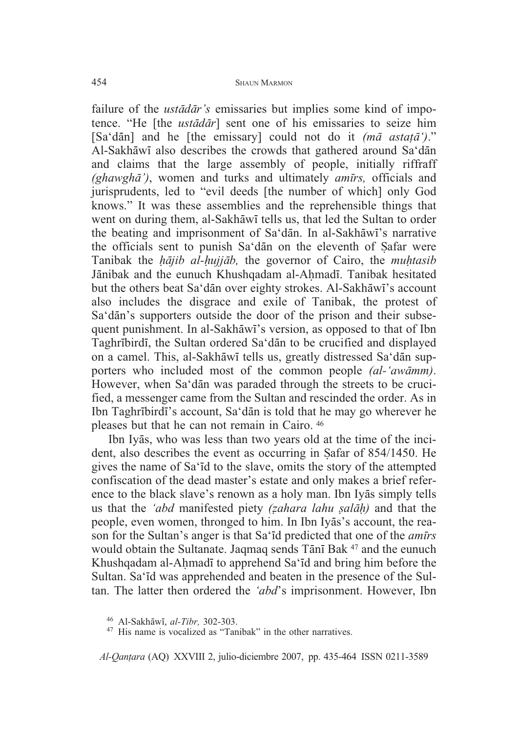failure of the *ustadar's* emissaries but implies some kind of impotence. "He [the *ustdr*] sent one of his emissaries to seize him [Sa'dan] and he [the emissary] could not do it *(ma astata')*." Al-Sakhāwī also describes the crowds that gathered around Sa'dān and claims that the large assembly of people, initially riffraff *(ghawgh')*, women and turks and ultimately *amrs,* officials and jurisprudents, led to "evil deeds [the number of which] only God knows." It was these assemblies and the reprehensible things that went on during them, al-Sakhāwī tells us, that led the Sultan to order the beating and imprisonment of Sa'dān. In al-Sakhāwī's narrative the officials sent to punish Sa'dan on the eleventh of Safar were Tanibak the *hājib al-hujjāb*, the governor of Cairo, the *muhtasib* Jānibak and the eunuch Khushqadam al-Aḥmadī. Tanibak hesitated but the others beat Sa'dān over eighty strokes. Al-Sakhāwī's account also includes the disgrace and exile of Tanibak, the protest of Sa'dān's supporters outside the door of the prison and their subsequent punishment. In al-Sakhāwī's version, as opposed to that of Ibn Taghrībirdī, the Sultan ordered Sa'dān to be crucified and displayed on a camel. This, al-Sakhāwī tells us, greatly distressed Sa'dān supporters who included most of the common people *(al-'awmm)*. However, when Sa'dān was paraded through the streets to be crucified, a messenger came from the Sultan and rescinded the order. As in Ibn Taghrībirdī's account, Sa'dān is told that he may go wherever he pleases but that he can not remain in Cairo. <sup>46</sup>

Ibn Iyās, who was less than two years old at the time of the incident, also describes the event as occurring in Safar of 854/1450. He gives the name of Sa'd to the slave, omits the story of the attempted confiscation of the dead master's estate and only makes a brief reference to the black slave's renown as a holy man. Ibn Iyas simply tells us that the *'abd* manifested piety *(ahara lahu al)* and that the people, even women, thronged to him. In Ibn Iyas's account, the reason for the Sultan's anger is that Sa'd predicted that one of the *amrs* would obtain the Sultanate. Jaqmaq sends Tānī Bak <sup>47</sup> and the eunuch Khushqadam al-Ahmadī to apprehend Sa'īd and bring him before the Sultan. Sa'd was apprehended and beaten in the presence of the Sultan. The latter then ordered the *'abd*'s imprisonment. However, Ibn

<sup>46</sup> Al-Sakhāwī, al-Tibr, 302-303.

<sup>&</sup>lt;sup>47</sup> His name is vocalized as "Tanibak" in the other narratives.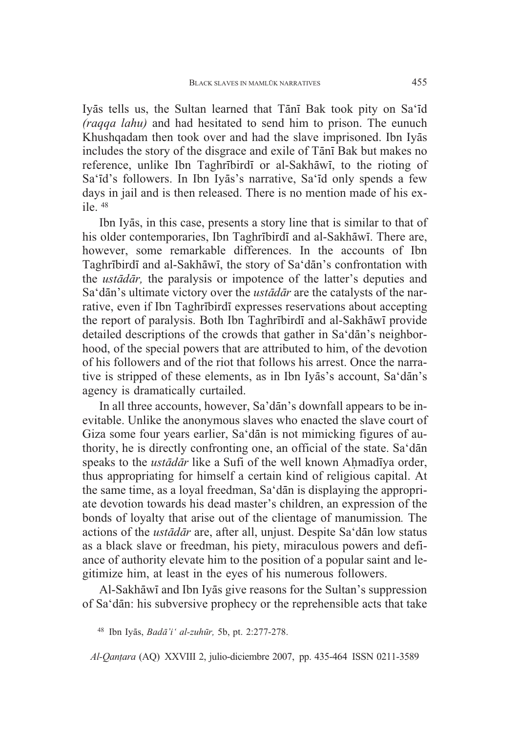Iyās tells us, the Sultan learned that Tānī Bak took pity on Sa'īd *(raqqa lahu)* and had hesitated to send him to prison. The eunuch Khushqadam then took over and had the slave imprisoned. Ibn Iyas includes the story of the disgrace and exile of Tānī Bak but makes no reference, unlike Ibn Taghrībirdī or al-Sakhāwī, to the rioting of Sa'id's followers. In Ibn Iyas's narrative, Sa'id only spends a few days in jail and is then released. There is no mention made of his exile. <sup>48</sup>

Ibn Iyās, in this case, presents a story line that is similar to that of his older contemporaries, Ibn Taghrībirdī and al-Sakhāwī. There are, however, some remarkable differences. In the accounts of Ibn Taghrībirdī and al-Sakhāwī, the story of Sa'dān's confrontation with the *ustdr,* the paralysis or impotence of the latter's deputies and Sa'dan's ultimate victory over the *ustadar* are the catalysts of the narrative, even if Ibn Taghribirdi expresses reservations about accepting the report of paralysis. Both Ibn Taghrībirdī and al-Sakhāwī provide detailed descriptions of the crowds that gather in Sa'dān's neighborhood, of the special powers that are attributed to him, of the devotion of his followers and of the riot that follows his arrest. Once the narrative is stripped of these elements, as in Ibn Iyas's account, Sa'dan's agency is dramatically curtailed.

In all three accounts, however, Sa'dan's downfall appears to be inevitable. Unlike the anonymous slaves who enacted the slave court of Giza some four years earlier, Sa'dān is not mimicking figures of authority, he is directly confronting one, an official of the state. Sa'dan speaks to the *ustādār* like a Sufi of the well known Ahmadīya order, thus appropriating for himself a certain kind of religious capital. At the same time, as a loyal freedman, Sa'dān is displaying the appropriate devotion towards his dead master's children, an expression of the bonds of loyalty that arise out of the clientage of manumission*.* The actions of the *ustādār* are, after all, unjust. Despite Sa'dān low status as a black slave or freedman, his piety, miraculous powers and defiance of authority elevate him to the position of a popular saint and legitimize him, at least in the eyes of his numerous followers.

Al-Sakhāwī and Ibn Iyās give reasons for the Sultan's suppression of Sa'dān: his subversive prophecy or the reprehensible acts that take

<sup>48</sup> Ibn Iy-s, *Bad'i' al-zuhr,* 5b, pt. 2:277-278.

*Al-Qan-ara* (AQ) XXVIII 2, julio-diciembre 2007, pp. 435-464 ISSN 0211-3589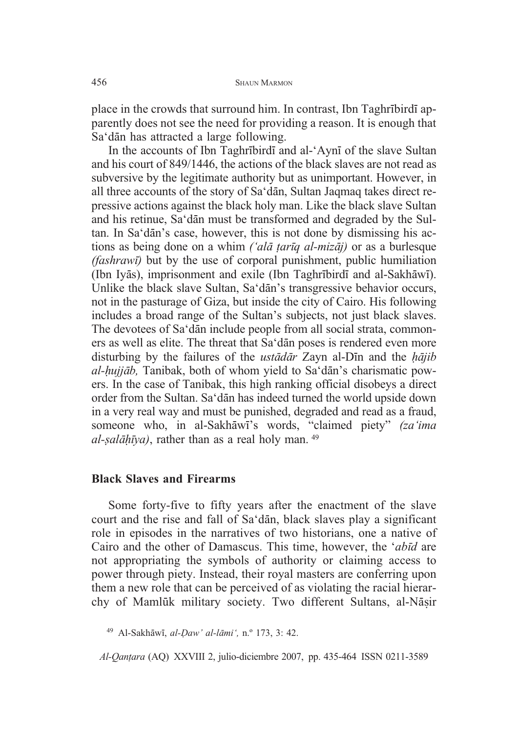place in the crowds that surround him. In contrast, Ibn Taghribirdi apparently does not see the need for providing a reason. It is enough that Sa'dān has attracted a large following.

In the accounts of Ibn Taghribird and al-'Ayni of the slave Sultan and his court of 849/1446, the actions of the black slaves are not read as subversive by the legitimate authority but as unimportant. However, in all three accounts of the story of Sa'dān, Sultan Jaqmaq takes direct repressive actions against the black holy man. Like the black slave Sultan and his retinue, Sa'dān must be transformed and degraded by the Sultan. In Sa'dān's case, however, this is not done by dismissing his actions as being done on a whim *('alā ṭarīq al-mizāj)* or as a burlesque *(fashraw)* but by the use of corporal punishment, public humiliation (Ibn Iyās), imprisonment and exile (Ibn Taghrībirdī and al-Sakhāwī). Unlike the black slave Sultan, Sa'dān's transgressive behavior occurs, not in the pasturage of Giza, but inside the city of Cairo. His following includes a broad range of the Sultan's subjects, not just black slaves. The devotees of Sa'dān include people from all social strata, commoners as well as elite. The threat that Sa'dan poses is rendered even more disturbing by the failures of the *ustadar* Zayn al-Din and the *hajib* al-hujjāb, Tanibak, both of whom yield to Sa'dān's charismatic powers. In the case of Tanibak, this high ranking official disobeys a direct order from the Sultan. Sa'dān has indeed turned the world upside down in a very real way and must be punished, degraded and read as a fraud, someone who, in al-Sakhāwī's words, "claimed piety" (za'ima *al- alya)*, rather than as a real holy man. <sup>49</sup>

### **Black Slaves and Firearms**

Some forty-five to fifty years after the enactment of the slave court and the rise and fall of Sa'dan, black slaves play a significant role in episodes in the narratives of two historians, one a native of Cairo and the other of Damascus. This time, however, the '*abd* are not appropriating the symbols of authority or claiming access to power through piety. Instead, their royal masters are conferring upon them a new role that can be perceived of as violating the racial hierarchy of Mamlūk military society. Two different Sultans, al-Nāṣir

<sup>49</sup> Al-Sakh-w, *al-aw' al-lmi',* n.º 173, 3: 42.

*Al-Qan-ara* (AQ) XXVIII 2, julio-diciembre 2007, pp. 435-464 ISSN 0211-3589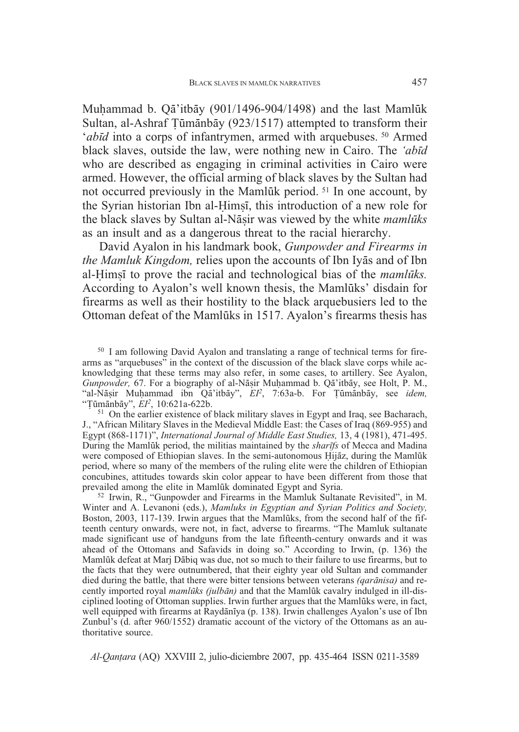Muḥammad b. Qā'itbāy (901/1496-904/1498) and the last Mamlūk Sultan, al-Ashraf Țūmānbāy (923/1517) attempted to transform their *'ab* $\overline{d}$  into a corps of infantrymen, armed with arquebuses.<sup>50</sup> Armed black slaves, outside the law, were nothing new in Cairo. The *'abd* who are described as engaging in criminal activities in Cairo were armed. However, the official arming of black slaves by the Sultan had not occurred previously in the Mamlūk period. <sup>51</sup> In one account, by the Syrian historian Ibn al-Himsi, this introduction of a new role for the black slaves by Sultan al-Nāṣir was viewed by the white *mamlūks* as an insult and as a dangerous threat to the racial hierarchy.

David Ayalon in his landmark book, *Gunpowder and Firearms in* the Mamluk Kingdom, relies upon the accounts of Ibn Iyas and of Ibn al-Himsi to prove the racial and technological bias of the *mamluks*. According to Ayalon's well known thesis, the Mamluks' disdain for firearms as well as their hostility to the black arquebusiers led to the Ottoman defeat of the Mamlūks in 1517. Ayalon's firearms thesis has

<sup>51</sup> On the earlier existence of black military slaves in Egypt and Iraq, see Bacharach, J., "African Military Slaves in the Medieval Middle East: the Cases of Iraq (869-955) and Egypt (868-1171)", *International Journal of Middle East Studies,* 13, 4 (1981), 471-495. During the Mamlk period, the militias maintained by the *sharfs* of Mecca and Madina were composed of Ethiopian slaves. In the semi-autonomous Hijāz, during the Mamlūk period, where so many of the members of the ruling elite were the children of Ethiopian concubines, attitudes towards skin color appear to have been different from those that

 $52$  Irwin, R., "Gunpowder and Firearms in the Mamluk Sultanate Revisited", in M. Winter and A. Levanoni (eds.), *Mamluks in Egyptian and Syrian Politics and Society,* Boston, 2003, 117-139. Irwin argues that the Mamlūks, from the second half of the fifteenth century onwards, were not, in fact, adverse to firearms. "The Mamluk sultanate made significant use of handguns from the late fifteenth-century onwards and it was ahead of the Ottomans and Safavids in doing so." According to Irwin, (p. 136) the Mamlūk defeat at Marj Dābiq was due, not so much to their failure to use firearms, but to the facts that they were outnumbered, that their eighty year old Sultan and commander died during the battle, that there were bitter tensions between veterans *(qarnisa)* and recently imported royal *mamlūks (julbān)* and that the Mamlūk cavalry indulged in ill-disciplined looting of Ottoman supplies. Irwin further argues that the Mamlūks were, in fact, well equipped with firearms at Raydānīya (p. 138). Irwin challenges Ayalon's use of Ibn Zunbul's (d. after 960/1552) dramatic account of the victory of the Ottomans as an authoritative source.

<sup>50</sup> I am following David Ayalon and translating a range of technical terms for firearms as "arquebuses" in the context of the discussion of the black slave corps while acknowledging that these terms may also refer, in some cases, to artillery. See Ayalon, Gunpowder, 67. For a biography of al-Nāṣir Muḥammad b. Qā'itbāy, see Holt, P. M., "al-Nāṣir Muḥammad ibn Qā'itbāy", EI<sup>2</sup>, 7:63a-b. For Țūmānbāy, see *idem*, "Țūmānbā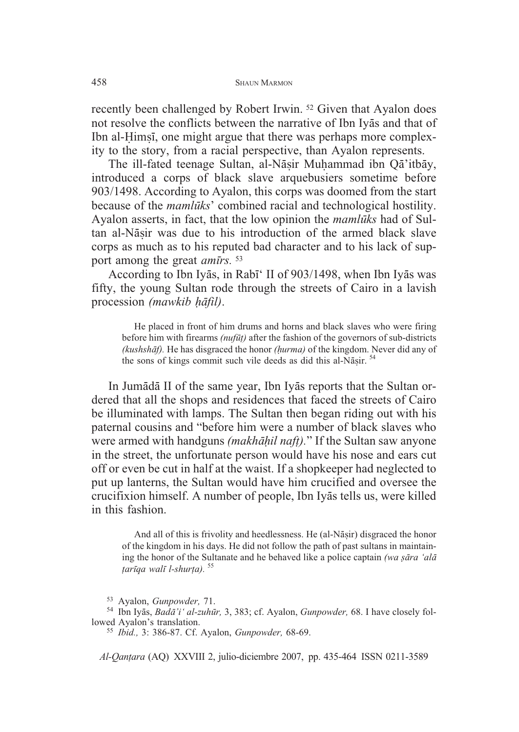recently been challenged by Robert Irwin. <sup>52</sup> Given that Ayalon does not resolve the conflicts between the narrative of Ibn Iyas and that of Ibn al-Himsi, one might argue that there was perhaps more complexity to the story, from a racial perspective, than Ayalon represents.

The ill-fated teenage Sultan, al-Nāṣir Muḥammad ibn Qā'itbāy, introduced a corps of black slave arquebusiers sometime before 903/1498. According to Ayalon, this corps was doomed from the start because of the *mamluks*' combined racial and technological hostility. Ayalon asserts, in fact, that the low opinion the *mamlks* had of Sultan al-Nāṣir was due to his introduction of the armed black slave corps as much as to his reputed bad character and to his lack of support among the great *amrs.* <sup>53</sup>

According to Ibn Iyās, in Rabī' II of 903/1498, when Ibn Iyās was fifty, the young Sultan rode through the streets of Cairo in a lavish procession (mawkib hāfil).

He placed in front of him drums and horns and black slaves who were firing before him with firearms *(nuf-)* after the fashion of the governors of sub-districts *(kushshf).* He has disgraced the honor *(urma)* of the kingdom. Never did any of the sons of kings commit such vile deeds as did this al-Nāṣir. <sup>54</sup>

In Jumādā II of the same year, Ibn Iyās reports that the Sultan ordered that all the shops and residences that faced the streets of Cairo be illuminated with lamps. The Sultan then began riding out with his paternal cousins and "before him were a number of black slaves who were armed with handguns *(makhil naf-).*" If the Sultan saw anyone in the street, the unfortunate person would have his nose and ears cut off or even be cut in half at the waist. If a shopkeeper had neglected to put up lanterns, the Sultan would have him crucified and oversee the crucifixion himself. A number of people, Ibn Iyas tells us, were killed in this fashion.

And all of this is frivolity and heedlessness. He (al-Nāṣir) disgraced the honor of the kingdom in his days. He did not follow the path of past sultans in maintaining the honor of the Sultanate and he behaved like a police captain *(wa sāra 'alā -arqa wal l-shur-a).* <sup>55</sup>

<sup>53</sup> Ayalon, *Gunpowder, 7*1.<br><sup>54</sup> Ibn Iyās, *Badā'i' al-zuhūr,* 3, 383; cf. Ayalon, *Gunpowder,* 68. I have closely followed Ayalon's translation. <sup>55</sup> *Ibid.,* 3: 386-87. Cf. Ayalon, *Gunpowder,* 68-69.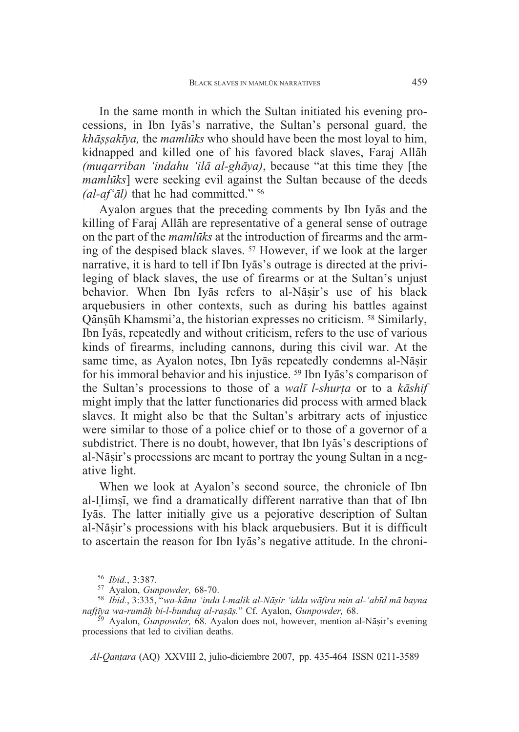In the same month in which the Sultan initiated his evening processions, in Ibn Iyās's narrative, the Sultan's personal guard, the *kh akya,* the *mamlks* who should have been the most loyal to him, kidnapped and killed one of his favored black slaves, Faraj Allāh *(mugarriban 'indahu 'ilā al-ghāva)*, because "at this time they *[the mamlūks*] were seeking evil against the Sultan because of the deeds *(al-af'l)* that he had committed." <sup>56</sup>

Ayalon argues that the preceding comments by Ibn Iyas and the killing of Faraj Allāh are representative of a general sense of outrage on the part of the *mamlks* at the introduction of firearms and the arming of the despised black slaves. <sup>57</sup> However, if we look at the larger narrative, it is hard to tell if Ibn Iyas's outrage is directed at the privileging of black slaves, the use of firearms or at the Sultan's unjust behavior. When Ibn Iyas refers to al-Nasir's use of his black arquebusiers in other contexts, such as during his battles against Qānṣūh Khamsmi'a, the historian expresses no criticism. <sup>58</sup> Similarly, Ibn Iyās, repeatedly and without criticism, refers to the use of various kinds of firearms, including cannons, during this civil war. At the same time, as Ayalon notes, Ibn Iyās repeatedly condemns al-Nāṣir for his immoral behavior and his injustice. <sup>59</sup> Ibn Iyas's comparison of the Sultan's processions to those of a *walī l-shurța* or to a *kāshif* might imply that the latter functionaries did process with armed black slaves. It might also be that the Sultan's arbitrary acts of injustice were similar to those of a police chief or to those of a governor of a subdistrict. There is no doubt, however, that Ibn Iyas's descriptions of al-Nāṣir's processions are meant to portray the young Sultan in a negative light.

When we look at Ayalon's second source, the chronicle of Ibn al-Himsi, we find a dramatically different narrative than that of Ibn Iyās. The latter initially give us a pejorative description of Sultan al-Nāṣir's processions with his black arquebusiers. But it is difficult to ascertain the reason for Ibn Iyas's negative attitude. In the chroni-

<sup>&</sup>lt;sup>56</sup> Ibid., 3:387.<br><sup>57</sup> Ayalon, *Gunpowder, 68-70.*<br><sup>58</sup> Ibid., 3:335, "wa-kāna 'inda l-malik al-Nāṣir 'idda wāfira min al-'abīd mā bayna naftīya wa-rumāḥ bi-l-bunduq al-raṣāṣ

*īya wa-rumāḥ bi-l-bunduq al-raṣāṣ.*" Cf. Ayalon, *Gunpowder, 68.*<br><sup>59</sup> Ayalon, *Gunpowder, 68. Ayalon does not, however, mention al-Nāṣir's evening* processions that led to civilian deaths.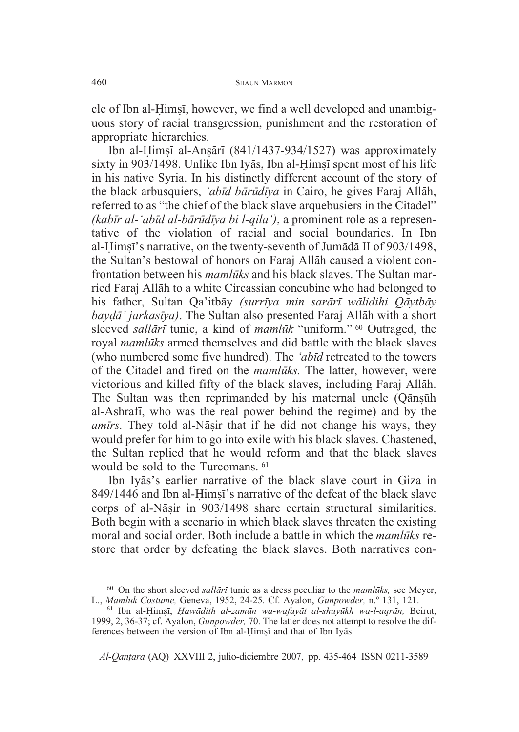cle of Ibn al-Himsi, however, we find a well developed and unambiguous story of racial transgression, punishment and the restoration of appropriate hierarchies.

Ibn al-Himșī al-Anșārī (841/1437-934/1527) was approximately sixty in 903/1498. Unlike Ibn Iyās, Ibn al-Himși spent most of his life in his native Syria. In his distinctly different account of the story of the black arbusquiers, *'abd brdya* in Cairo, he gives Faraj All-h, referred to as "the chief of the black slave arquebusiers in the Citadel" *(kabr al-'abd al-brdya bi l-qila')*, a prominent role as a representative of the violation of racial and social boundaries. In Ibn al-Himși's narrative, on the twenty-seventh of Jumādā II of 903/1498, the Sultan's bestowal of honors on Faraj Allāh caused a violent confrontation between his *mamlks* and his black slaves. The Sultan married Faraj Allāh to a white Circassian concubine who had belonged to his father, Sultan Qa'itbāy *(surrīya min sarārī wālidihi Qāytbāy* bay*dā' jarkasīya*). The Sultan also presented Faraj Allāh with a short sleeved *sallārī* tunic, a kind of *mamlūk* "uniform." <sup>60</sup> Outraged, the royal *mamlks* armed themselves and did battle with the black slaves (who numbered some five hundred). The *'abd* retreated to the towers of the Citadel and fired on the *mamlks.* The latter, however, were victorious and killed fifty of the black slaves, including Faraj Allāh. The Sultan was then reprimanded by his maternal uncle (Qānșūh al-Ashrafi, who was the real power behind the regime) and by the amīrs. They told al-Nāṣir that if he did not change his ways, they would prefer for him to go into exile with his black slaves. Chastened, the Sultan replied that he would reform and that the black slaves would be sold to the Turcomans. <sup>61</sup>

Ibn Iyās's earlier narrative of the black slave court in Giza in 849/1446 and Ibn al-Himsi's narrative of the defeat of the black slave corps of al-Nāṣir in 903/1498 share certain structural similarities. Both begin with a scenario in which black slaves threaten the existing moral and social order. Both include a battle in which the *mamlks* restore that order by defeating the black slaves. Both narratives con-

<sup>&</sup>lt;sup>60</sup> On the short sleeved *sallari* tunic as a dress peculiar to the *mamluks*, see Meyer, L., *Mamluk Costume*, Geneva, 1952, 24-25. Cf. Ayalon, *Gunpowder*, n.<sup>o</sup> 131, 121.

<sup>&</sup>lt;sup>61</sup> Ibn al-Himși, *Hawādith al-zamān wa-wafayāt al-shuyūkh wa-l-aqrān*, Beirut, 1999, 2, 36-37; cf. Ayalon, *Gunpowder,* 70. The latter does not attempt to resolve the differences between the version of Ibn al-Himși and that of Ibn Iyās.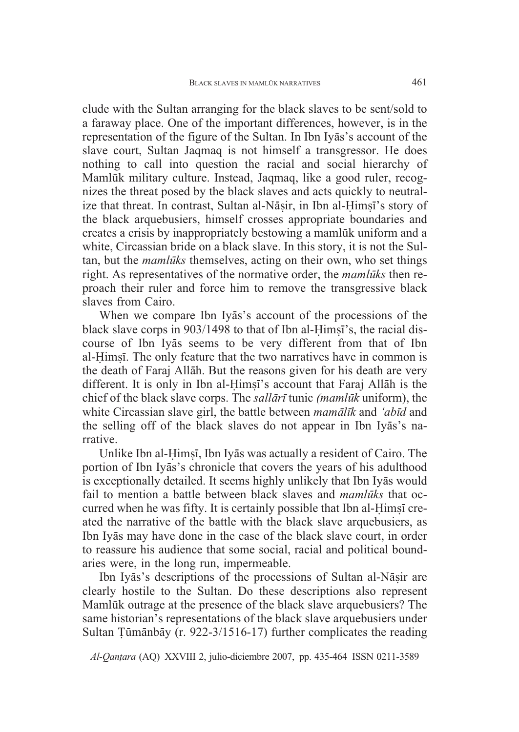clude with the Sultan arranging for the black slaves to be sent/sold to a faraway place. One of the important differences, however, is in the representation of the figure of the Sultan. In Ibn Iyas's account of the slave court, Sultan Jaqmaq is not himself a transgressor. He does nothing to call into question the racial and social hierarchy of Mamlūk military culture. Instead, Jagmag, like a good ruler, recognizes the threat posed by the black slaves and acts quickly to neutralize that threat. In contrast, Sultan al-Nāṣir, in Ibn al-Ḥimṣī's story of the black arquebusiers, himself crosses appropriate boundaries and creates a crisis by inappropriately bestowing a mamluk uniform and a white, Circassian bride on a black slave. In this story, it is not the Sultan, but the *mamlks* themselves, acting on their own, who set things right. As representatives of the normative order, the *mamluks* then reproach their ruler and force him to remove the transgressive black slaves from Cairo.

When we compare Ibn Iyas's account of the processions of the black slave corps in 903/1498 to that of Ibn al-Himsi's, the racial discourse of Ibn Iyas seems to be very different from that of Ibn al-Himsi. The only feature that the two narratives have in common is the death of Faraj Allāh. But the reasons given for his death are very different. It is only in Ibn al-Himși's account that Faraj Allāh is the chief of the black slave corps. The *sallari* tunic *(mamluk* uniform), the white Circassian slave girl, the battle between *mamlk* and *'abd* and the selling off of the black slaves do not appear in Ibn Iyas's narrative.

Unlike Ibn al-Himși, Ibn Iyās was actually a resident of Cairo. The portion of Ibn Iyās's chronicle that covers the years of his adulthood is exceptionally detailed. It seems highly unlikely that Ibn Iyās would fail to mention a battle between black slaves and *mamlks* that occurred when he was fifty. It is certainly possible that Ibn al-Himsi created the narrative of the battle with the black slave arquebusiers, as Ibn Iyās may have done in the case of the black slave court, in order to reassure his audience that some social, racial and political boundaries were, in the long run, impermeable.

Ibn Iyās's descriptions of the processions of Sultan al-Nāșir are clearly hostile to the Sultan. Do these descriptions also represent Mamluk outrage at the presence of the black slave arquebusiers? The same historian's representations of the black slave arquebusiers under Sultan Tūmānbāy (r. 922-3/1516-17) further complicates the reading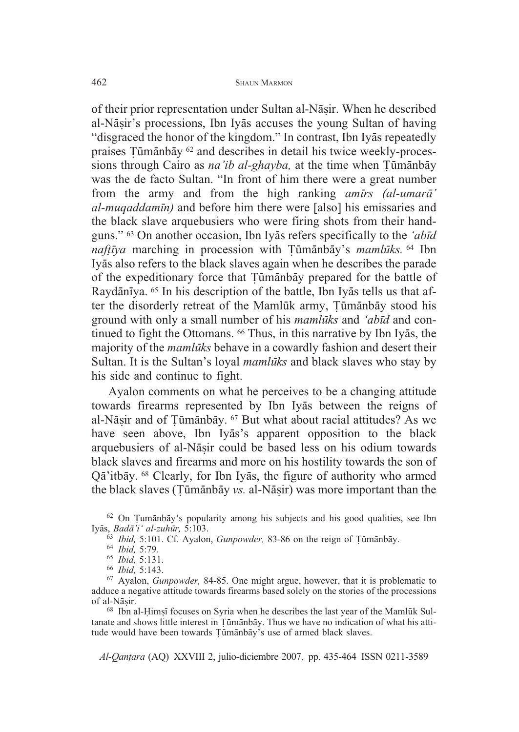of their prior representation under Sultan al-Nāṣir. When he described al-Nāṣir's processions, Ibn Iyās accuses the young Sultan of having "disgraced the honor of the kingdom." In contrast, Ibn Iyas repeatedly praises Tūmānbāy <sup>62</sup> and describes in detail his twice weekly-processions through Cairo as na'ib al-ghayba, at the time when Tūmānbāy was the de facto Sultan. "In front of him there were a great number from the army and from the high ranking *amrs (al-umar' al-muqaddamn)* and before him there were [also] his emissaries and the black slave arquebusiers who were firing shots from their handguns." <sup>63</sup> On another occasion, Ibn Iyas refers specifically to the *'abīd* naftīya marching in procession with Tūmānbāy's mamlūks. <sup>64</sup> Ibn Iyās also refers to the black slaves again when he describes the parade of the expeditionary force that Tūmānbāy prepared for the battle of Raydānīya. 65 In his description of the battle, Ibn Iyās tells us that after the disorderly retreat of the Mamlūk army, Țūmānbāy stood his ground with only a small number of his *mamlks* and *'abd* and continued to fight the Ottomans. <sup>66</sup> Thus, in this narrative by Ibn Iyas, the majority of the *mamlks* behave in a cowardly fashion and desert their Sultan. It is the Sultan's loyal *mamluks* and black slaves who stay by his side and continue to fight.

Ayalon comments on what he perceives to be a changing attitude towards firearms represented by Ibn Iyas between the reigns of al-Nāṣir and of Țūmānbāy. 67 But what about racial attitudes? As we have seen above, Ibn Iyas's apparent opposition to the black arquebusiers of al-Nāṣir could be based less on his odium towards black slaves and firearms and more on his hostility towards the son of Qā'itbāy. <sup>68</sup> Clearly, for Ibn Iyās, the figure of authority who armed the black slaves (Tūmānbāy vs. al-Nāṣir) was more important than the

 $62$  On Tumānbāy's popularity among his subjects and his good qualities, see Ibn Iyās, Badā'i' al-zuhūr, 5:103. s, *Badā'i' al-zuhūr*, 5:103.<br><sup>63</sup> *Ibid, 5:101. Cf. Ayalon, Gunpowder, 83-86 on the reign of Tūmānbā* 

y. <sup>64</sup> *Ibid,* 5:79. <sup>65</sup> *Ibid,* 5:131. <sup>66</sup> *Ibid,* 5:143. <sup>67</sup> Ayalon, *Gunpowder,* 84-85. One might argue, however, that it is problematic to adduce a negative attitude towards firearms based solely on the stories of the processions of al-Nāsir.

 $68$  Ibn al-Himsi focuses on Syria when he describes the last year of the Mamluk Sultanate and shows little interest in Tūmānbāy. Thus we have no indication of what his attitude would have been towards Tūmānbāy's use of armed black slaves.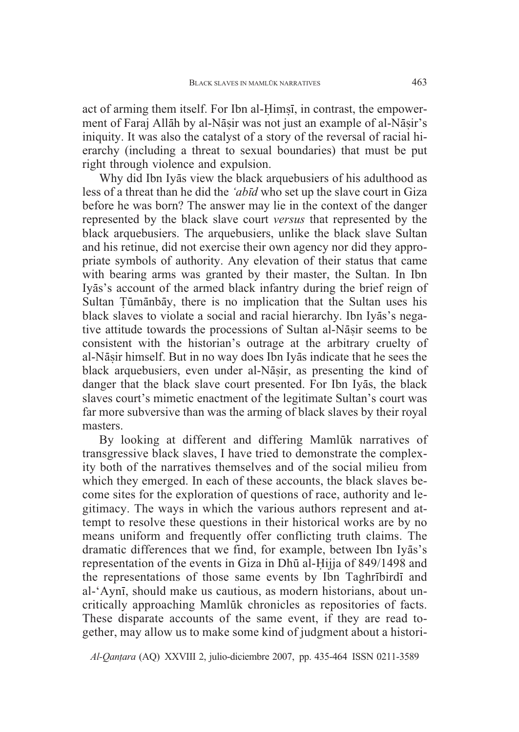act of arming them itself. For Ibn al-Himsi, in contrast, the empowerment of Faraj Allāh by al-Nāṣir was not just an example of al-Nāṣir's iniquity. It was also the catalyst of a story of the reversal of racial hierarchy (including a threat to sexual boundaries) that must be put right through violence and expulsion.

Why did Ibn Iyas view the black arquebusiers of his adulthood as less of a threat than he did the *'abd* who set up the slave court in Giza before he was born? The answer may lie in the context of the danger represented by the black slave court *versus* that represented by the black arquebusiers. The arquebusiers, unlike the black slave Sultan and his retinue, did not exercise their own agency nor did they appropriate symbols of authority. Any elevation of their status that came with bearing arms was granted by their master, the Sultan. In Ibn Iyās's account of the armed black infantry during the brief reign of Sultan Tūmānbāy, there is no implication that the Sultan uses his black slaves to violate a social and racial hierarchy. Ibn Iyās's negative attitude towards the processions of Sultan al-Nāṣir seems to be consistent with the historian's outrage at the arbitrary cruelty of al-Nāṣir himself. But in no way does Ibn Iyās indicate that he sees the black arquebusiers, even under al-Nāṣir, as presenting the kind of danger that the black slave court presented. For Ibn Iyas, the black slaves court's mimetic enactment of the legitimate Sultan's court was far more subversive than was the arming of black slaves by their royal masters.

By looking at different and differing Mamluk narratives of transgressive black slaves, I have tried to demonstrate the complexity both of the narratives themselves and of the social milieu from which they emerged. In each of these accounts, the black slaves become sites for the exploration of questions of race, authority and legitimacy. The ways in which the various authors represent and attempt to resolve these questions in their historical works are by no means uniform and frequently offer conflicting truth claims. The dramatic differences that we find, for example, between Ibn Iyās's representation of the events in Giza in Dhū al-Hijja of 849/1498 and the representations of those same events by Ibn Taghribirdi and al-'Aynī, should make us cautious, as modern historians, about uncritically approaching Mamlūk chronicles as repositories of facts. These disparate accounts of the same event, if they are read together, may allow us to make some kind of judgment about a histori-